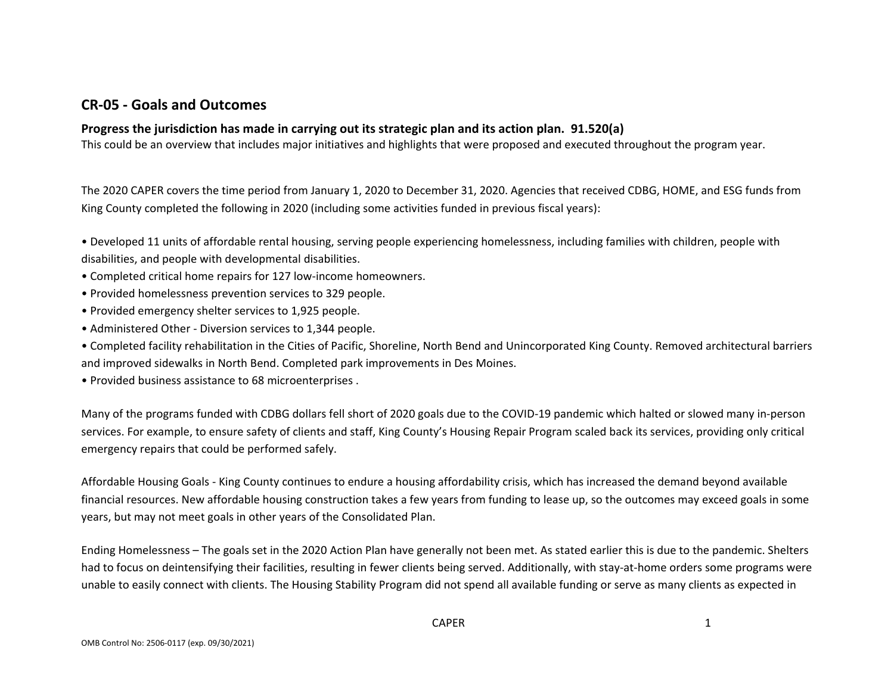### **CR-05 - Goals and Outcomes**

### **Progress the jurisdiction has made in carrying out its strategic plan and its action plan. 91.520(a)**

This could be an overview that includes major initiatives and highlights that were proposed and executed throughout the program year.

The 2020 CAPER covers the time period from January 1, 2020 to December 31, 2020. Agencies that received CDBG, HOME, and ESG funds from King County completed the following in 2020 (including some activities funded in previous fiscal years):

• Developed 11 units of affordable rental housing, serving people experiencing homelessness, including families with children, people with disabilities, and people with developmental disabilities.

- Completed critical home repairs for 127 low-income homeowners.
- Provided homelessness prevention services to 329 people.
- Provided emergency shelter services to 1,925 people.
- Administered Other Diversion services to 1,344 people.

• Completed facility rehabilitation in the Cities of Pacific, Shoreline, North Bend and Unincorporated King County. Removed architectural barriers and improved sidewalks in North Bend. Completed park improvements in Des Moines.

• Provided business assistance to 68 microenterprises .

Many of the programs funded with CDBG dollars fell short of 2020 goals due to the COVID-19 pandemic which halted or slowed many in-person services. For example, to ensure safety of clients and staff, King County's Housing Repair Program scaled back its services, providing only critical emergency repairs that could be performed safely.

Affordable Housing Goals - King County continues to endure a housing affordability crisis, which has increased the demand beyond available financial resources. New affordable housing construction takes a few years from funding to lease up, so the outcomes may exceed goals in some years, but may not meet goals in other years of the Consolidated Plan.

Ending Homelessness – The goals set in the 2020 Action Plan have generally not been met. As stated earlier this is due to the pandemic. Shelters had to focus on deintensifying their facilities, resulting in fewer clients being served. Additionally, with stay-at-home orders some programs were unable to easily connect with clients. The Housing Stability Program did not spend all available funding or serve as many clients as expected in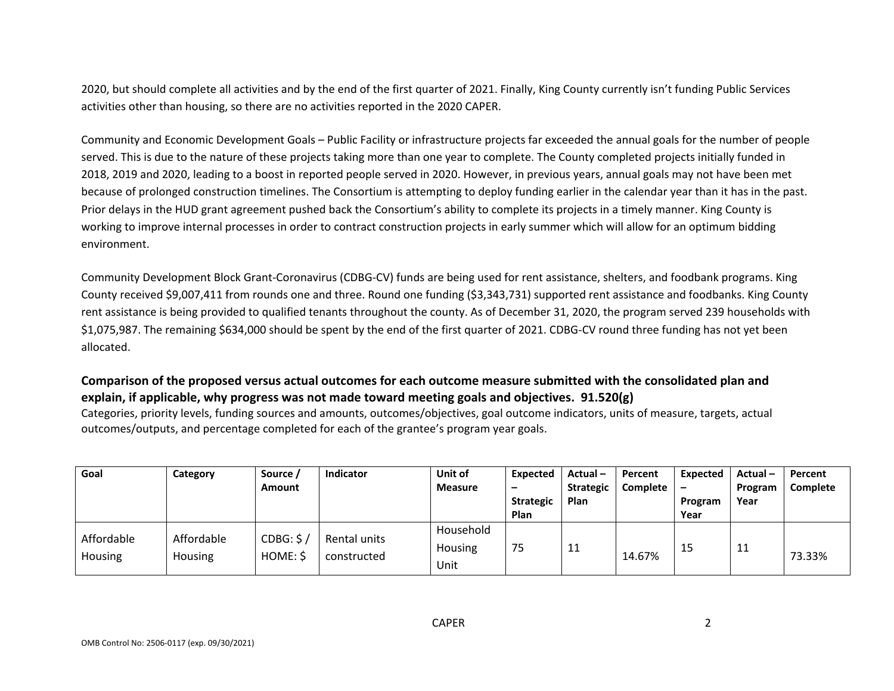2020, but should complete all activities and by the end of the first quarter of 2021. Finally, King County currently isn't funding Public Services activities other than housing, so there are no activities reported in the 2020 CAPER.

Community and Economic Development Goals – Public Facility or infrastructure projects far exceeded the annual goals for the number of people served. This is due to the nature of these projects taking more than one year to complete. The County completed projects initially funded in 2018, 2019 and 2020, leading to a boost in reported people served in 2020. However, in previous years, annual goals may not have been met because of prolonged construction timelines. The Consortium is attempting to deploy funding earlier in the calendar year than it has in the past. Prior delays in the HUD grant agreement pushed back the Consortium's ability to complete its projects in a timely manner. King County is working to improve internal processes in order to contract construction projects in early summer which will allow for an optimum bidding environment.

Community Development Block Grant-Coronavirus (CDBG-CV) funds are being used for rent assistance, shelters, and foodbank programs. King County received \$9,007,411 from rounds one and three. Round one funding (\$3,343,731) supported rent assistance and foodbanks. King County rent assistance is being provided to qualified tenants throughout the county. As of December 31, 2020, the program served 239 households with \$1,075,987. The remaining \$634,000 should be spent by the end of the first quarter of 2021. CDBG-CV round three funding has not yet been allocated.

### **Comparison of the proposed versus actual outcomes for each outcome measure submitted with the consolidated plan and explain, if applicable, why progress was not made toward meeting goals and objectives. 91.520(g)**

Categories, priority levels, funding sources and amounts, outcomes/objectives, goal outcome indicators, units of measure, targets, actual outcomes/outputs, and percentage completed for each of the grantee's program year goals.

| Goal           | Category   | Source / | Indicator    | Unit of        | <b>Expected</b>  | Actual-          | Percent  | Expected                 | $Actual -$ | Percent  |
|----------------|------------|----------|--------------|----------------|------------------|------------------|----------|--------------------------|------------|----------|
|                |            | Amount   |              | <b>Measure</b> | -                | <b>Strategic</b> | Complete | $\overline{\phantom{0}}$ | Program    | Complete |
|                |            |          |              |                | <b>Strategic</b> | Plan             |          | Program                  | Year       |          |
|                |            |          |              |                | Plan             |                  |          | Year                     |            |          |
| Affordable     | Affordable | CDBG: S/ | Rental units | Household      |                  |                  |          |                          |            |          |
|                |            |          |              | <b>Housing</b> | 75               | 11               |          | 15                       | 11         |          |
| <b>Housing</b> | Housing    | HOME: \$ | constructed  | Unit           |                  |                  | 14.67%   |                          |            | 73.33%   |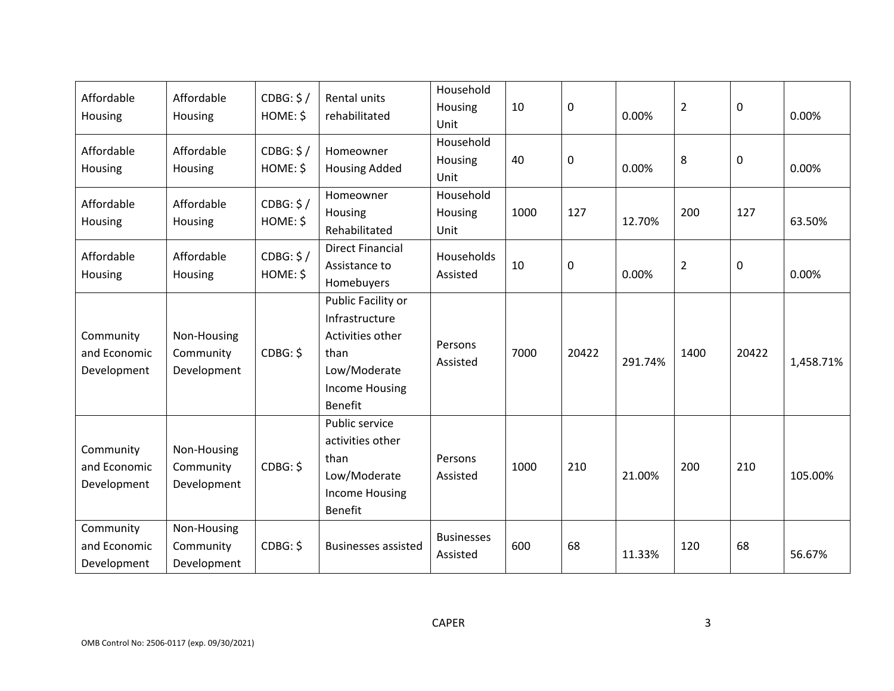| Affordable<br>Housing                    | Affordable<br>Housing                   | CDBG: \$/<br>HOME: \$ | Rental units<br>rehabilitated                                                                                               | Household<br>Housing<br>Unit  | 10   | 0     | 0.00%   | $\overline{2}$ | 0     | 0.00%     |
|------------------------------------------|-----------------------------------------|-----------------------|-----------------------------------------------------------------------------------------------------------------------------|-------------------------------|------|-------|---------|----------------|-------|-----------|
| Affordable<br>Housing                    | Affordable<br>Housing                   | CDBG: \$/<br>HOME: \$ | Homeowner<br><b>Housing Added</b>                                                                                           | Household<br>Housing<br>Unit  | 40   | 0     | 0.00%   | 8              | 0     | 0.00%     |
| Affordable<br>Housing                    | Affordable<br>Housing                   | CDBG: \$/<br>HOME: \$ | Homeowner<br>Housing<br>Rehabilitated                                                                                       | Household<br>Housing<br>Unit  | 1000 | 127   | 12.70%  | 200            | 127   | 63.50%    |
| Affordable<br>Housing                    | Affordable<br>Housing                   | CDBG: \$/<br>HOME: \$ | <b>Direct Financial</b><br>Assistance to<br>Homebuyers                                                                      | Households<br>Assisted        | 10   | 0     | 0.00%   | $\overline{2}$ | 0     | 0.00%     |
| Community<br>and Economic<br>Development | Non-Housing<br>Community<br>Development | CDBG: \$              | Public Facility or<br>Infrastructure<br>Activities other<br>than<br>Low/Moderate<br><b>Income Housing</b><br><b>Benefit</b> | Persons<br>Assisted           | 7000 | 20422 | 291.74% | 1400           | 20422 | 1,458.71% |
| Community<br>and Economic<br>Development | Non-Housing<br>Community<br>Development | CDBG: \$              | Public service<br>activities other<br>than<br>Low/Moderate<br><b>Income Housing</b><br><b>Benefit</b>                       | Persons<br>Assisted           | 1000 | 210   | 21.00%  | 200            | 210   | 105.00%   |
| Community<br>and Economic<br>Development | Non-Housing<br>Community<br>Development | CDBG: \$              | <b>Businesses assisted</b>                                                                                                  | <b>Businesses</b><br>Assisted | 600  | 68    | 11.33%  | 120            | 68    | 56.67%    |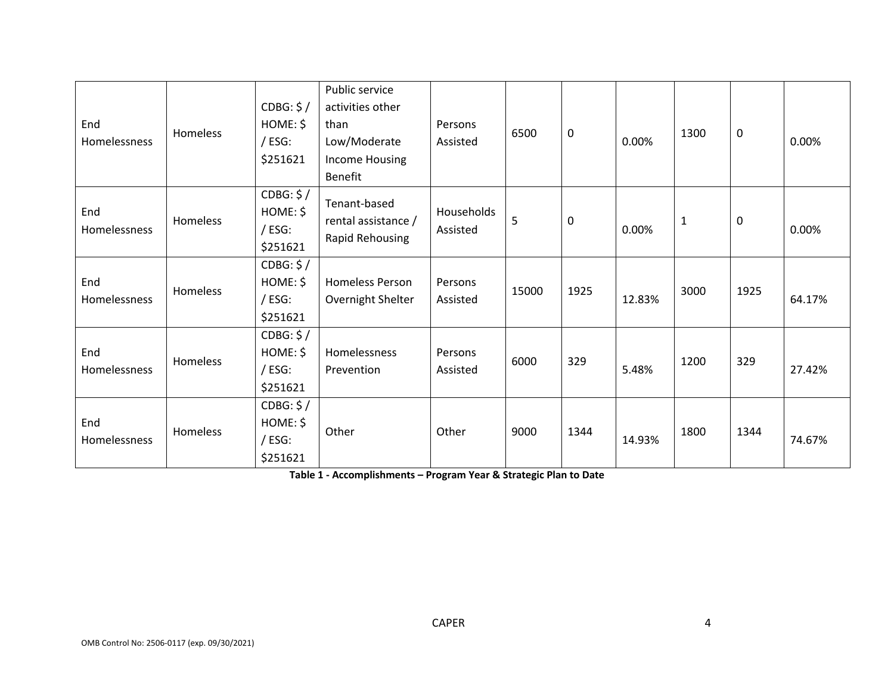| End<br>Homelessness | Homeless | CDBG: \$/<br>HOME: \$<br>/ ESG:<br>\$251621 | Public service<br>activities other<br>than<br>Low/Moderate<br>Income Housing<br><b>Benefit</b> | Persons<br>Assisted    | 6500  | $\boldsymbol{0}$ | 0.00%  | 1300         | 0    | 0.00%  |
|---------------------|----------|---------------------------------------------|------------------------------------------------------------------------------------------------|------------------------|-------|------------------|--------|--------------|------|--------|
| End<br>Homelessness | Homeless | CDBG: \$/<br>HOME: \$<br>/ ESG:<br>\$251621 | Tenant-based<br>rental assistance /<br>Rapid Rehousing                                         | Households<br>Assisted | 5     | $\mathbf 0$      | 0.00%  | $\mathbf{1}$ | 0    | 0.00%  |
| End<br>Homelessness | Homeless | CDBG: \$/<br>HOME: \$<br>/ ESG:<br>\$251621 | <b>Homeless Person</b><br>Overnight Shelter                                                    | Persons<br>Assisted    | 15000 | 1925             | 12.83% | 3000         | 1925 | 64.17% |
| End<br>Homelessness | Homeless | CDBG: \$/<br>HOME: \$<br>/ ESG:<br>\$251621 | Homelessness<br>Prevention                                                                     | Persons<br>Assisted    | 6000  | 329              | 5.48%  | 1200         | 329  | 27.42% |
| End<br>Homelessness | Homeless | CDBG: \$/<br>HOME: \$<br>/ ESG:<br>\$251621 | Other                                                                                          | Other                  | 9000  | 1344             | 14.93% | 1800         | 1344 | 74.67% |

**Table 1 - Accomplishments – Program Year & Strategic Plan to Date**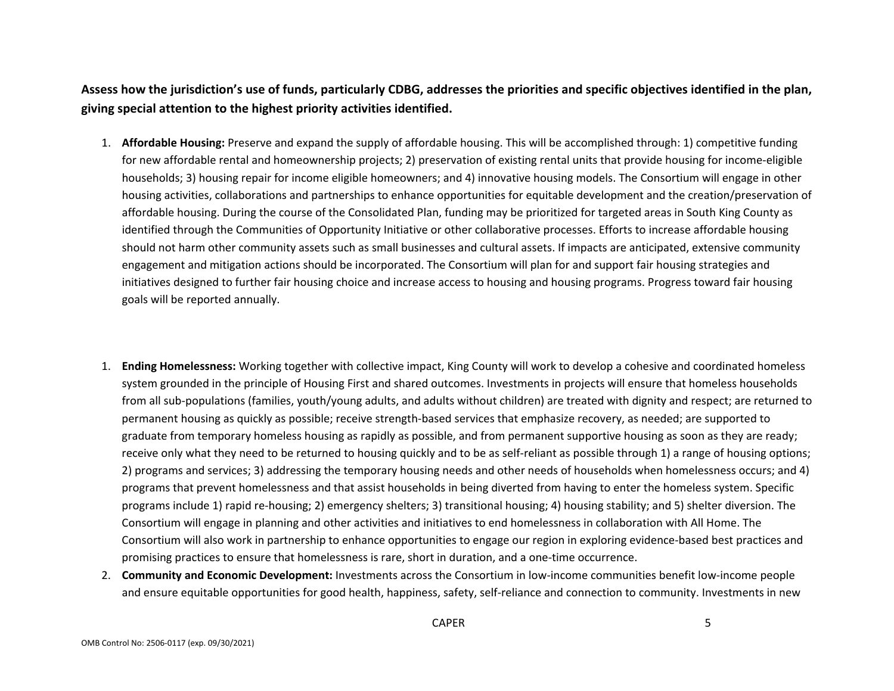**Assess how the jurisdiction's use of funds, particularly CDBG, addresses the priorities and specific objectives identified in the plan, giving special attention to the highest priority activities identified.**

- 1. **Affordable Housing:** Preserve and expand the supply of affordable housing. This will be accomplished through: 1) competitive funding for new affordable rental and homeownership projects; 2) preservation of existing rental units that provide housing for income-eligible households; 3) housing repair for income eligible homeowners; and 4) innovative housing models. The Consortium will engage in other housing activities, collaborations and partnerships to enhance opportunities for equitable development and the creation/preservation of affordable housing. During the course of the Consolidated Plan, funding may be prioritized for targeted areas in South King County as identified through the Communities of Opportunity Initiative or other collaborative processes. Efforts to increase affordable housing should not harm other community assets such as small businesses and cultural assets. If impacts are anticipated, extensive community engagement and mitigation actions should be incorporated. The Consortium will plan for and support fair housing strategies and initiatives designed to further fair housing choice and increase access to housing and housing programs. Progress toward fair housing goals will be reported annually.
- 1. **Ending Homelessness:** Working together with collective impact, King County will work to develop a cohesive and coordinated homeless system grounded in the principle of Housing First and shared outcomes. Investments in projects will ensure that homeless households from all sub-populations (families, youth/young adults, and adults without children) are treated with dignity and respect; are returned to permanent housing as quickly as possible; receive strength-based services that emphasize recovery, as needed; are supported to graduate from temporary homeless housing as rapidly as possible, and from permanent supportive housing as soon as they are ready; receive only what they need to be returned to housing quickly and to be as self-reliant as possible through 1) a range of housing options; 2) programs and services; 3) addressing the temporary housing needs and other needs of households when homelessness occurs; and 4) programs that prevent homelessness and that assist households in being diverted from having to enter the homeless system. Specific programs include 1) rapid re-housing; 2) emergency shelters; 3) transitional housing; 4) housing stability; and 5) shelter diversion. The Consortium will engage in planning and other activities and initiatives to end homelessness in collaboration with All Home. The Consortium will also work in partnership to enhance opportunities to engage our region in exploring evidence-based best practices and promising practices to ensure that homelessness is rare, short in duration, and a one-time occurrence.
- 2. **Community and Economic Development:** Investments across the Consortium in low-income communities benefit low-income people and ensure equitable opportunities for good health, happiness, safety, self-reliance and connection to community. Investments in new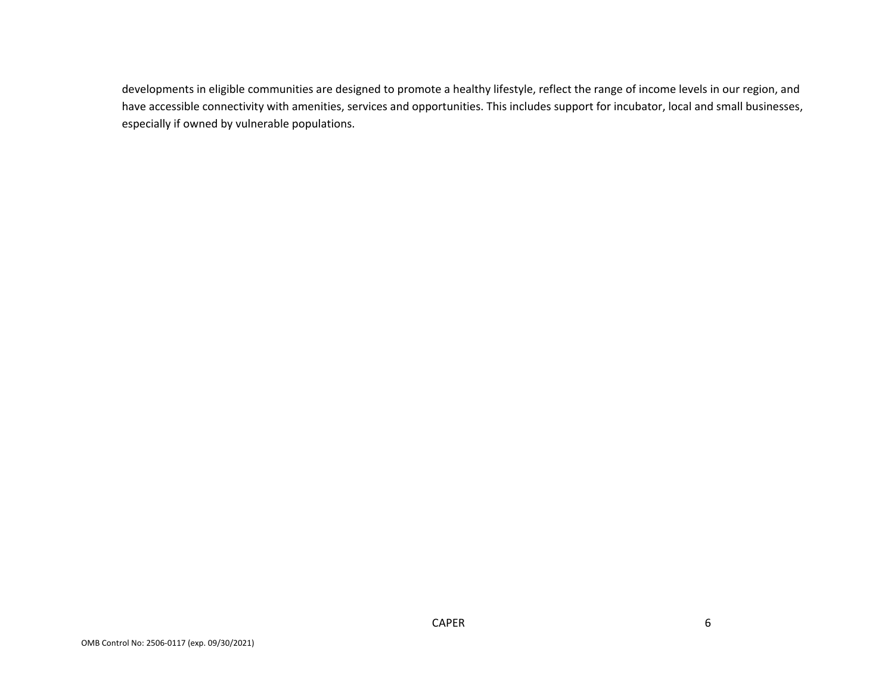developments in eligible communities are designed to promote a healthy lifestyle, reflect the range of income levels in our region, and have accessible connectivity with amenities, services and opportunities. This includes support for incubator, local and small businesses, especially if owned by vulnerable populations.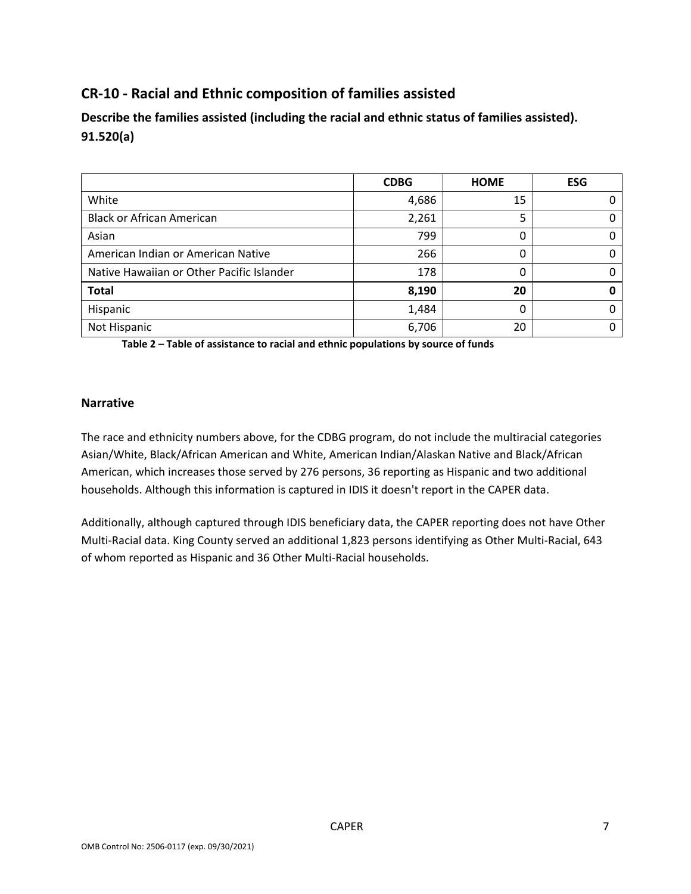# **CR-10 - Racial and Ethnic composition of families assisted**

**Describe the families assisted (including the racial and ethnic status of families assisted). 91.520(a)** 

|                                           | <b>CDBG</b> | <b>HOME</b> | <b>ESG</b> |
|-------------------------------------------|-------------|-------------|------------|
| White                                     | 4,686       | 15          |            |
| <b>Black or African American</b>          | 2,261       |             |            |
| Asian                                     | 799         | 0           |            |
| American Indian or American Native        | 266         | 0           |            |
| Native Hawaiian or Other Pacific Islander | 178         | 0           |            |
| <b>Total</b>                              | 8,190       | 20          |            |
| Hispanic                                  | 1,484       | ი           |            |
| Not Hispanic                              | 6,706       | 20          |            |

**Table 2 – Table of assistance to racial and ethnic populations by source of funds**

#### **Narrative**

The race and ethnicity numbers above, for the CDBG program, do not include the multiracial categories Asian/White, Black/African American and White, American Indian/Alaskan Native and Black/African American, which increases those served by 276 persons, 36 reporting as Hispanic and two additional households. Although this information is captured in IDIS it doesn't report in the CAPER data.

Additionally, although captured through IDIS beneficiary data, the CAPER reporting does not have Other Multi-Racial data. King County served an additional 1,823 persons identifying as Other Multi-Racial, 643 of whom reported as Hispanic and 36 Other Multi-Racial households.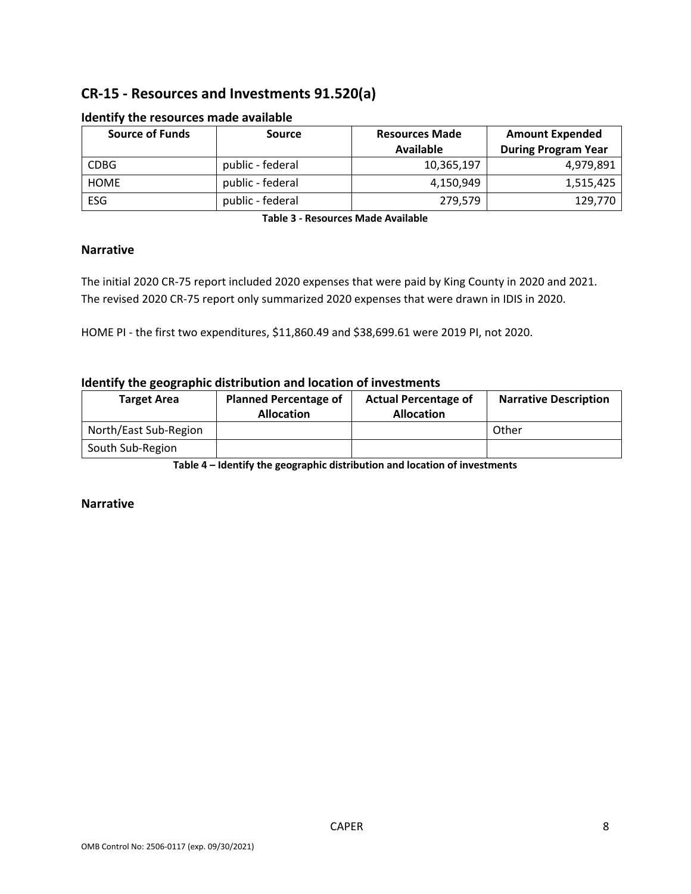# **CR-15 - Resources and Investments 91.520(a)**

| <b>Source of Funds</b> | <b>Source</b>    | <b>Resources Made</b> | <b>Amount Expended</b>     |
|------------------------|------------------|-----------------------|----------------------------|
|                        |                  | Available             | <b>During Program Year</b> |
| <b>CDBG</b>            | public - federal | 10,365,197            | 4,979,891                  |
| <b>HOME</b>            | public - federal | 4,150,949             | 1,515,425                  |
| <b>ESG</b>             | public - federal | 279,579               | 129,770                    |

#### **Identify the resources made available**

**Table 3 - Resources Made Available**

#### **Narrative**

The initial 2020 CR-75 report included 2020 expenses that were paid by King County in 2020 and 2021. The revised 2020 CR-75 report only summarized 2020 expenses that were drawn in IDIS in 2020.

HOME PI - the first two expenditures, \$11,860.49 and \$38,699.61 were 2019 PI, not 2020.

#### **Identify the geographic distribution and location of investments**

| <b>Target Area</b>    | <b>Planned Percentage of</b><br><b>Allocation</b> | <b>Actual Percentage of</b><br><b>Allocation</b> | <b>Narrative Description</b> |  |
|-----------------------|---------------------------------------------------|--------------------------------------------------|------------------------------|--|
| North/East Sub-Region |                                                   |                                                  | Other                        |  |
| South Sub-Region      |                                                   |                                                  |                              |  |

**Table 4 – Identify the geographic distribution and location of investments**

#### **Narrative**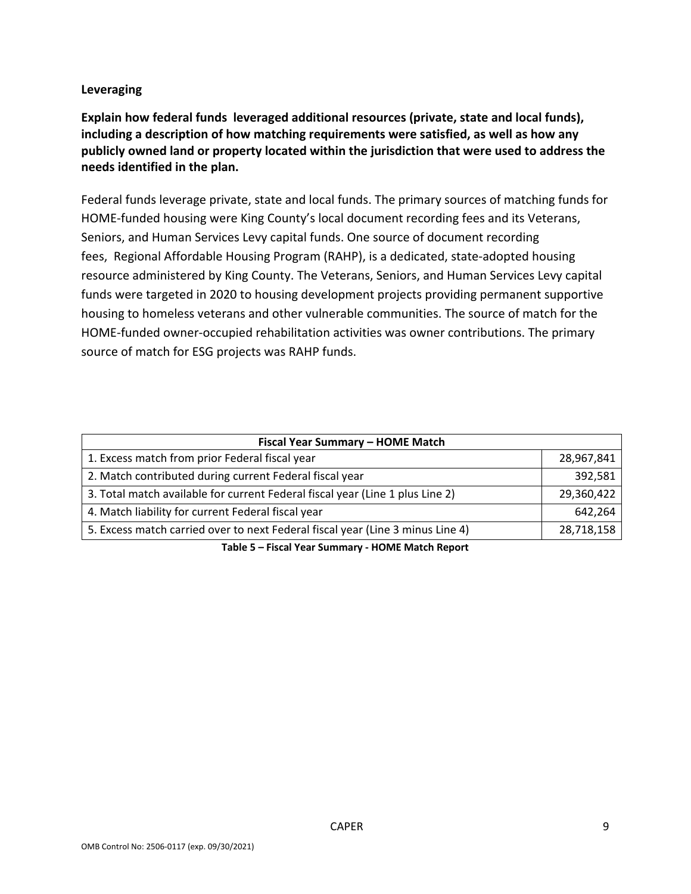#### **Leveraging**

**Explain how federal funds leveraged additional resources (private, state and local funds), including a description of how matching requirements were satisfied, as well as how any publicly owned land or property located within the jurisdiction that were used to address the needs identified in the plan.**

Federal funds leverage private, state and local funds. The primary sources of matching funds for HOME-funded housing were King County's local document recording fees and its Veterans, Seniors, and Human Services Levy capital funds. One source of document recording fees, Regional Affordable Housing Program (RAHP), is a dedicated, state-adopted housing resource administered by King County. The Veterans, Seniors, and Human Services Levy capital funds were targeted in 2020 to housing development projects providing permanent supportive housing to homeless veterans and other vulnerable communities. The source of match for the HOME-funded owner-occupied rehabilitation activities was owner contributions. The primary source of match for ESG projects was RAHP funds.

| Fiscal Year Summary - HOME Match                                               |            |  |  |  |
|--------------------------------------------------------------------------------|------------|--|--|--|
| 1. Excess match from prior Federal fiscal year                                 | 28,967,841 |  |  |  |
| 2. Match contributed during current Federal fiscal year                        | 392,581    |  |  |  |
| 3. Total match available for current Federal fiscal year (Line 1 plus Line 2)  | 29,360,422 |  |  |  |
| 4. Match liability for current Federal fiscal year                             | 642,264    |  |  |  |
| 5. Excess match carried over to next Federal fiscal year (Line 3 minus Line 4) | 28,718,158 |  |  |  |
| Table E. Ficcal Vear Cummany, HOME Match Bonert                                |            |  |  |  |

**Table 5 – Fiscal Year Summary - HOME Match Report**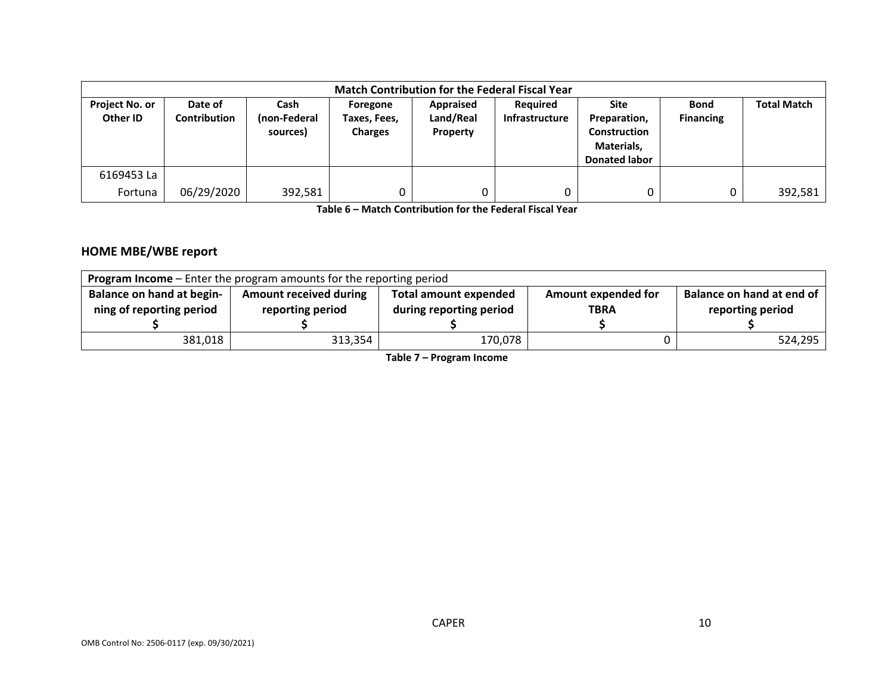| <b>Match Contribution for the Federal Fiscal Year</b> |                                |                                  |                                            |                                    |                            |                                                                                   |                                 |                    |
|-------------------------------------------------------|--------------------------------|----------------------------------|--------------------------------------------|------------------------------------|----------------------------|-----------------------------------------------------------------------------------|---------------------------------|--------------------|
| <b>Project No. or</b><br>Other ID                     | Date of<br><b>Contribution</b> | Cash<br>(non-Federal<br>sources) | Foregone<br>Taxes, Fees,<br><b>Charges</b> | Appraised<br>Land/Real<br>Property | Required<br>Infrastructure | Site<br>Preparation,<br><b>Construction</b><br>Materials,<br><b>Donated labor</b> | <b>Bond</b><br><b>Financing</b> | <b>Total Match</b> |
| 6169453 La                                            |                                |                                  |                                            |                                    |                            |                                                                                   |                                 |                    |
| Fortuna                                               | 06/29/2020                     | 392,581                          | 0                                          | 0                                  |                            | 0                                                                                 |                                 | 392,581            |

**Table 6 – Match Contribution for the Federal Fiscal Year**

### **HOME MBE/WBE report**

| <b>Program Income</b> – Enter the program amounts for the reporting period |                                                   |                                                         |                                           |                                               |  |  |  |
|----------------------------------------------------------------------------|---------------------------------------------------|---------------------------------------------------------|-------------------------------------------|-----------------------------------------------|--|--|--|
| <b>Balance on hand at begin-</b><br>ning of reporting period               | <b>Amount received during</b><br>reporting period | <b>Total amount expended</b><br>during reporting period | <b>Amount expended for</b><br><b>TBRA</b> | Balance on hand at end of<br>reporting period |  |  |  |
| 381,018                                                                    | 313,354                                           | 170,078                                                 |                                           | 524,295                                       |  |  |  |

**Table 7 – Program Income**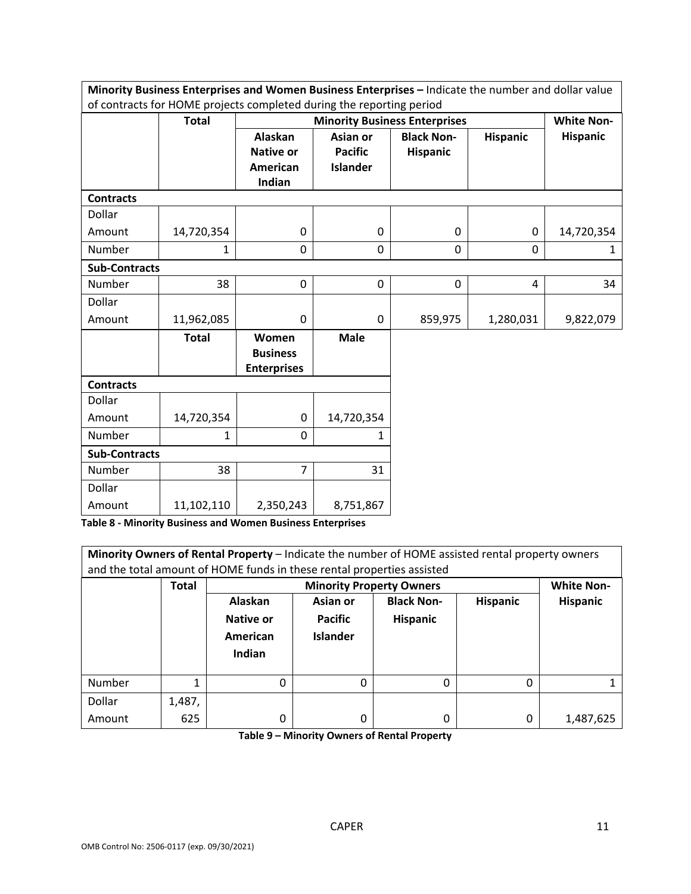| Minority Business Enterprises and Women Business Enterprises - Indicate the number and dollar value |                                                                      |                                                |                 |                                      |                 |                   |  |
|-----------------------------------------------------------------------------------------------------|----------------------------------------------------------------------|------------------------------------------------|-----------------|--------------------------------------|-----------------|-------------------|--|
|                                                                                                     | of contracts for HOME projects completed during the reporting period |                                                |                 |                                      |                 |                   |  |
|                                                                                                     | <b>Total</b>                                                         |                                                |                 | <b>Minority Business Enterprises</b> |                 | <b>White Non-</b> |  |
|                                                                                                     |                                                                      | Alaskan                                        | Asian or        | <b>Black Non-</b>                    | <b>Hispanic</b> | <b>Hispanic</b>   |  |
|                                                                                                     |                                                                      | <b>Native or</b>                               | <b>Pacific</b>  | <b>Hispanic</b>                      |                 |                   |  |
|                                                                                                     |                                                                      | <b>American</b>                                | <b>Islander</b> |                                      |                 |                   |  |
|                                                                                                     |                                                                      | Indian                                         |                 |                                      |                 |                   |  |
| <b>Contracts</b>                                                                                    |                                                                      |                                                |                 |                                      |                 |                   |  |
| Dollar                                                                                              |                                                                      |                                                |                 |                                      |                 |                   |  |
| Amount                                                                                              | 14,720,354                                                           | $\pmb{0}$                                      | 0               | $\mathbf 0$                          | $\pmb{0}$       | 14,720,354        |  |
| Number                                                                                              | 1                                                                    | $\overline{0}$                                 | 0               | $\mathbf 0$                          | $\Omega$        | 1                 |  |
| <b>Sub-Contracts</b>                                                                                |                                                                      |                                                |                 |                                      |                 |                   |  |
| <b>Number</b>                                                                                       | 38                                                                   | $\Omega$                                       | 0               | 0                                    | 4               | 34                |  |
| Dollar                                                                                              |                                                                      |                                                |                 |                                      |                 |                   |  |
| Amount                                                                                              | 11,962,085                                                           | $\mathbf 0$                                    | 0               | 859,975                              | 1,280,031       | 9,822,079         |  |
|                                                                                                     | <b>Total</b>                                                         | Women<br><b>Business</b><br><b>Enterprises</b> | <b>Male</b>     |                                      |                 |                   |  |
| <b>Contracts</b>                                                                                    |                                                                      |                                                |                 |                                      |                 |                   |  |
| Dollar                                                                                              |                                                                      |                                                |                 |                                      |                 |                   |  |
| Amount                                                                                              | 14,720,354                                                           | $\pmb{0}$                                      | 14,720,354      |                                      |                 |                   |  |
| Number                                                                                              | $\mathbf{1}$                                                         | 0                                              | 1               |                                      |                 |                   |  |
| <b>Sub-Contracts</b>                                                                                |                                                                      |                                                |                 |                                      |                 |                   |  |
| Number                                                                                              | 38                                                                   | $\overline{7}$                                 | 31              |                                      |                 |                   |  |
| Dollar                                                                                              |                                                                      |                                                |                 |                                      |                 |                   |  |
| Amount                                                                                              | 11,102,110                                                           | 2,350,243                                      | 8,751,867       |                                      |                 |                   |  |

**Table 8 - Minority Business and Women Business Enterprises**

| Minority Owners of Rental Property - Indicate the number of HOME assisted rental property owners<br>and the total amount of HOME funds in these rental properties assisted |              |           |                                   |                   |                 |                   |  |  |
|----------------------------------------------------------------------------------------------------------------------------------------------------------------------------|--------------|-----------|-----------------------------------|-------------------|-----------------|-------------------|--|--|
|                                                                                                                                                                            | <b>Total</b> |           | <b>Minority Property Owners</b>   |                   |                 | <b>White Non-</b> |  |  |
|                                                                                                                                                                            |              | Alaskan   | Asian or                          | <b>Black Non-</b> | <b>Hispanic</b> | <b>Hispanic</b>   |  |  |
|                                                                                                                                                                            |              | Native or | <b>Pacific</b><br><b>Hispanic</b> |                   |                 |                   |  |  |
|                                                                                                                                                                            |              | American  | <b>Islander</b>                   |                   |                 |                   |  |  |
|                                                                                                                                                                            |              | Indian    |                                   |                   |                 |                   |  |  |
|                                                                                                                                                                            |              |           |                                   |                   |                 |                   |  |  |
| Number                                                                                                                                                                     |              | $\Omega$  | $\Omega$                          | $\Omega$          | 0               |                   |  |  |
| Dollar                                                                                                                                                                     | 1,487,       |           |                                   |                   |                 |                   |  |  |
| Amount                                                                                                                                                                     | 625          | 0         | 0                                 | 0                 | 0               | 1,487,625         |  |  |

**Table 9 – Minority Owners of Rental Property**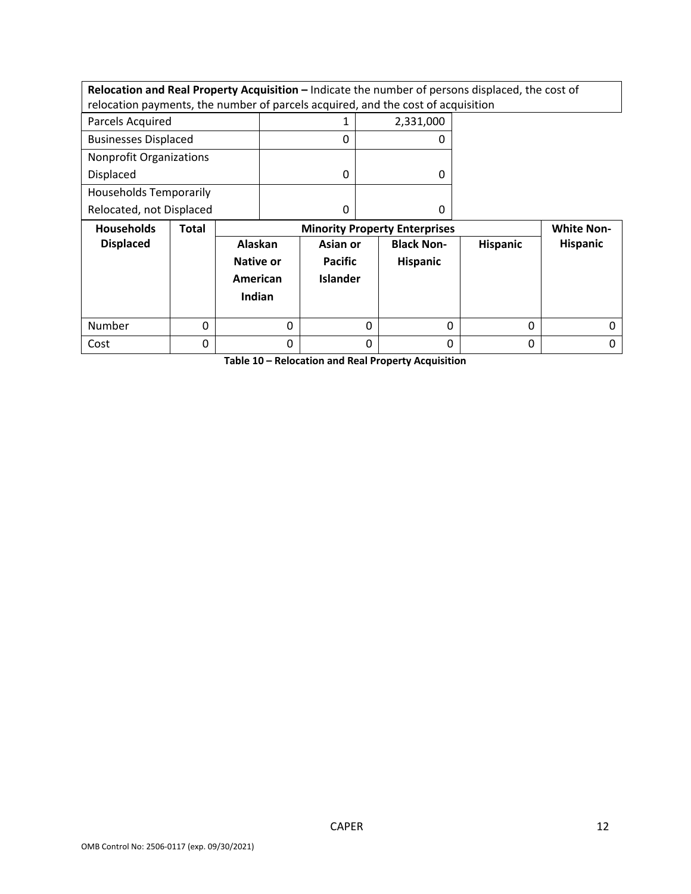**Relocation and Real Property Acquisition –** Indicate the number of persons displaced, the cost of relocation payments, the number of parcels acquired, and the cost of acquisition

| Parcels Acquired               | 2,331,000 |
|--------------------------------|-----------|
| <b>Businesses Displaced</b>    |           |
| <b>Nonprofit Organizations</b> |           |
| <b>Displaced</b>               |           |
| <b>Households Temporarily</b>  |           |
| Relocated, not Displaced       |           |

| <b>Households</b> | Total | <b>Minority Property Enterprises</b>              |                                               |                                      | <b>White Non-</b> |                 |
|-------------------|-------|---------------------------------------------------|-----------------------------------------------|--------------------------------------|-------------------|-----------------|
| <b>Displaced</b>  |       | Alaskan<br><b>Native or</b><br>American<br>Indian | Asian or<br><b>Pacific</b><br><b>Islander</b> | <b>Black Non-</b><br><b>Hispanic</b> | <b>Hispanic</b>   | <b>Hispanic</b> |
| Number            | 0     |                                                   | 0                                             | 0                                    | 0                 |                 |
| Cost              |       |                                                   |                                               |                                      | 0                 |                 |

**Table 10 – Relocation and Real Property Acquisition**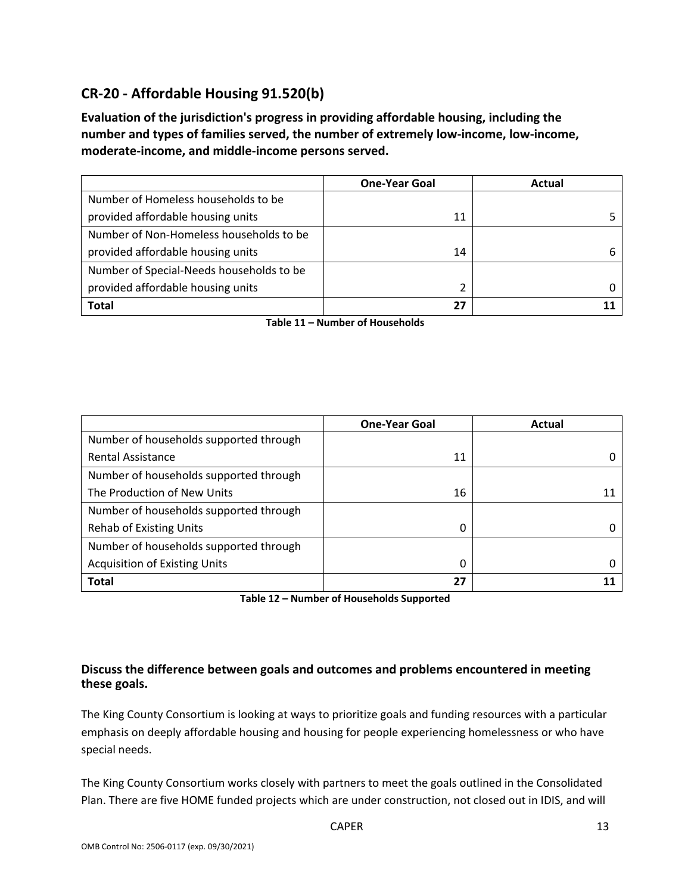# **CR-20 - Affordable Housing 91.520(b)**

**Evaluation of the jurisdiction's progress in providing affordable housing, including the number and types of families served, the number of extremely low-income, low-income, moderate-income, and middle-income persons served.**

|                                          | <b>One-Year Goal</b> | Actual |
|------------------------------------------|----------------------|--------|
| Number of Homeless households to be      |                      |        |
| provided affordable housing units        | 11                   |        |
| Number of Non-Homeless households to be  |                      |        |
| provided affordable housing units        | 14                   |        |
| Number of Special-Needs households to be |                      |        |
| provided affordable housing units        |                      |        |
| <b>Total</b>                             | 27                   |        |

**Table 11 – Number of Households**

|                                        | <b>One-Year Goal</b> | Actual |
|----------------------------------------|----------------------|--------|
| Number of households supported through |                      |        |
| <b>Rental Assistance</b>               | 11                   |        |
| Number of households supported through |                      |        |
| The Production of New Units            | 16                   | 11     |
| Number of households supported through |                      |        |
| <b>Rehab of Existing Units</b>         | 0                    |        |
| Number of households supported through |                      |        |
| <b>Acquisition of Existing Units</b>   | 0                    |        |
| <b>Total</b>                           | 27                   |        |

**Table 12 – Number of Households Supported**

### **Discuss the difference between goals and outcomes and problems encountered in meeting these goals.**

The King County Consortium is looking at ways to prioritize goals and funding resources with a particular emphasis on deeply affordable housing and housing for people experiencing homelessness or who have special needs.

The King County Consortium works closely with partners to meet the goals outlined in the Consolidated Plan. There are five HOME funded projects which are under construction, not closed out in IDIS, and will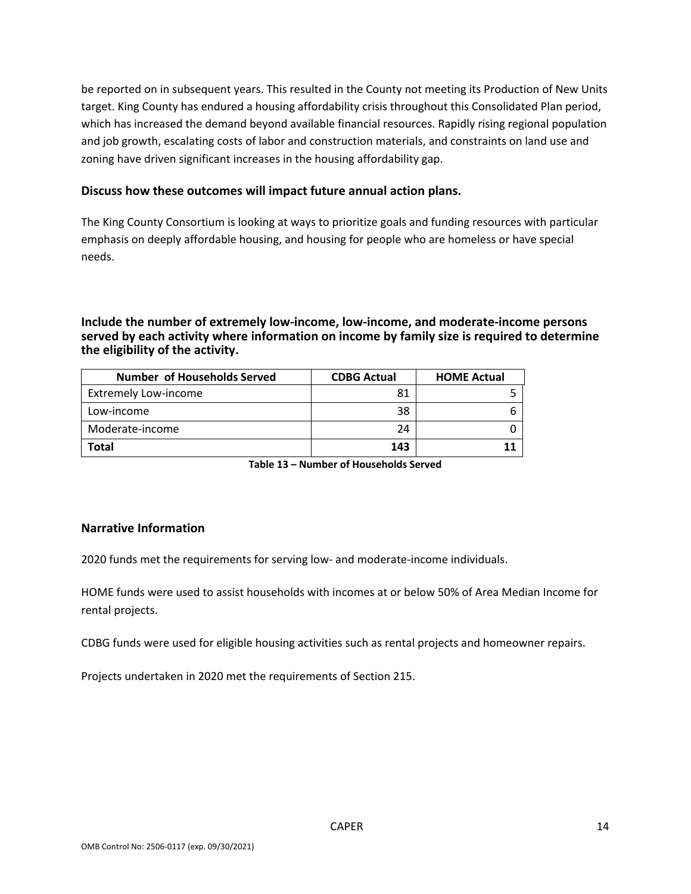be reported on in subsequent years. This resulted in the County not meeting its Production of New Units target. King County has endured a housing affordability crisis throughout this Consolidated Plan period, which has increased the demand beyond available financial resources. Rapidly rising regional population and job growth, escalating costs of labor and construction materials, and constraints on land use and zoning have driven significant increases in the housing affordability gap.

#### **Discuss how these outcomes will impact future annual action plans.**

The King County Consortium is looking at ways to prioritize goals and funding resources with particular emphasis on deeply affordable housing, and housing for people who are homeless or have special needs.

#### **Include the number of extremely low-income, low-income, and moderate-income persons served by each activity where information on income by family size is required to determine the eligibility of the activity.**

| <b>Number of Households Served</b> | <b>CDBG Actual</b> | <b>HOME Actual</b> |
|------------------------------------|--------------------|--------------------|
| <b>Extremely Low-income</b>        | 81                 |                    |
| Low-income                         | 38                 |                    |
| Moderate-income                    | 24                 |                    |
| <b>Total</b>                       | 143                |                    |

**Table 13 – Number of Households Served**

#### **Narrative Information**

2020 funds met the requirements for serving low- and moderate-income individuals.

HOME funds were used to assist households with incomes at or below 50% of Area Median Income for rental projects.

CDBG funds were used for eligible housing activities such as rental projects and homeowner repairs.

Projects undertaken in 2020 met the requirements of Section 215.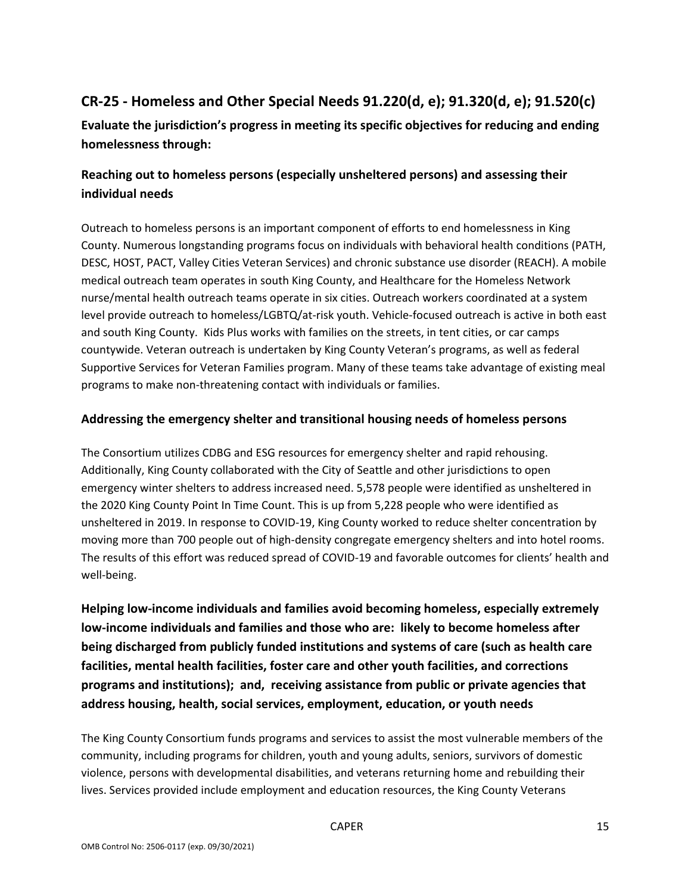# **CR-25 - Homeless and Other Special Needs 91.220(d, e); 91.320(d, e); 91.520(c)**

**Evaluate the jurisdiction's progress in meeting its specific objectives for reducing and ending homelessness through:**

### **Reaching out to homeless persons (especially unsheltered persons) and assessing their individual needs**

Outreach to homeless persons is an important component of efforts to end homelessness in King County. Numerous longstanding programs focus on individuals with behavioral health conditions (PATH, DESC, HOST, PACT, Valley Cities Veteran Services) and chronic substance use disorder (REACH). A mobile medical outreach team operates in south King County, and Healthcare for the Homeless Network nurse/mental health outreach teams operate in six cities. Outreach workers coordinated at a system level provide outreach to homeless/LGBTQ/at-risk youth. Vehicle-focused outreach is active in both east and south King County. Kids Plus works with families on the streets, in tent cities, or car camps countywide. Veteran outreach is undertaken by King County Veteran's programs, as well as federal Supportive Services for Veteran Families program. Many of these teams take advantage of existing meal programs to make non-threatening contact with individuals or families.

### **Addressing the emergency shelter and transitional housing needs of homeless persons**

The Consortium utilizes CDBG and ESG resources for emergency shelter and rapid rehousing. Additionally, King County collaborated with the City of Seattle and other jurisdictions to open emergency winter shelters to address increased need. 5,578 people were identified as unsheltered in the 2020 King County Point In Time Count. This is up from 5,228 people who were identified as unsheltered in 2019. In response to COVID-19, King County worked to reduce shelter concentration by moving more than 700 people out of high-density congregate emergency shelters and into hotel rooms. The results of this effort was reduced spread of COVID-19 and favorable outcomes for clients' health and well-being.

**Helping low-income individuals and families avoid becoming homeless, especially extremely low-income individuals and families and those who are: likely to become homeless after being discharged from publicly funded institutions and systems of care (such as health care facilities, mental health facilities, foster care and other youth facilities, and corrections programs and institutions); and, receiving assistance from public or private agencies that address housing, health, social services, employment, education, or youth needs**

The King County Consortium funds programs and services to assist the most vulnerable members of the community, including programs for children, youth and young adults, seniors, survivors of domestic violence, persons with developmental disabilities, and veterans returning home and rebuilding their lives. Services provided include employment and education resources, the King County Veterans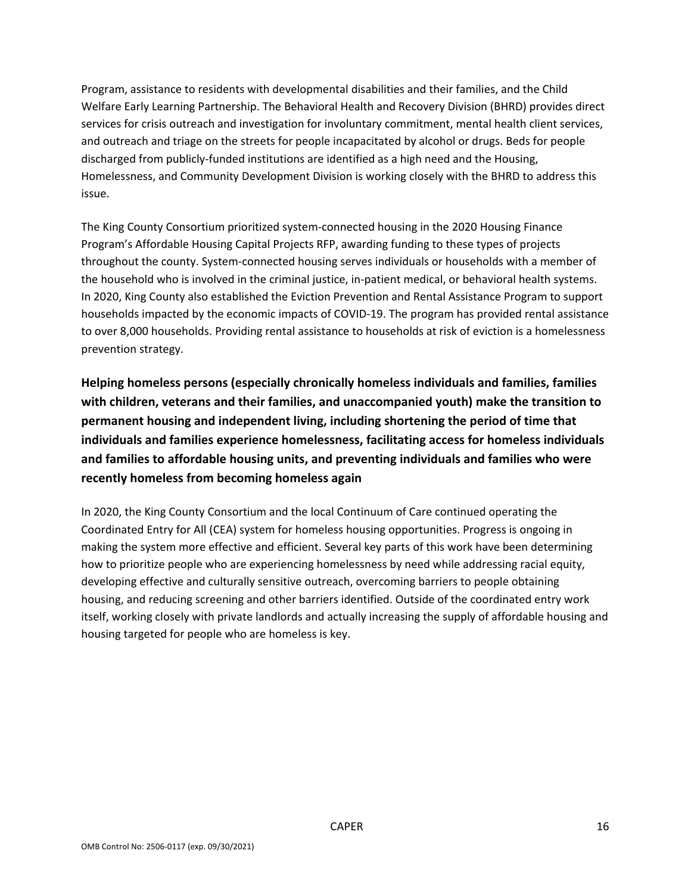Program, assistance to residents with developmental disabilities and their families, and the Child Welfare Early Learning Partnership. The Behavioral Health and Recovery Division (BHRD) provides direct services for crisis outreach and investigation for involuntary commitment, mental health client services, and outreach and triage on the streets for people incapacitated by alcohol or drugs. Beds for people discharged from publicly-funded institutions are identified as a high need and the Housing, Homelessness, and Community Development Division is working closely with the BHRD to address this issue.

The King County Consortium prioritized system-connected housing in the 2020 Housing Finance Program's Affordable Housing Capital Projects RFP, awarding funding to these types of projects throughout the county. System-connected housing serves individuals or households with a member of the household who is involved in the criminal justice, in-patient medical, or behavioral health systems. In 2020, King County also established the Eviction Prevention and Rental Assistance Program to support households impacted by the economic impacts of COVID-19. The program has provided rental assistance to over 8,000 households. Providing rental assistance to households at risk of eviction is a homelessness prevention strategy.

**Helping homeless persons (especially chronically homeless individuals and families, families with children, veterans and their families, and unaccompanied youth) make the transition to permanent housing and independent living, including shortening the period of time that individuals and families experience homelessness, facilitating access for homeless individuals and families to affordable housing units, and preventing individuals and families who were recently homeless from becoming homeless again**

In 2020, the King County Consortium and the local Continuum of Care continued operating the Coordinated Entry for All (CEA) system for homeless housing opportunities. Progress is ongoing in making the system more effective and efficient. Several key parts of this work have been determining how to prioritize people who are experiencing homelessness by need while addressing racial equity, developing effective and culturally sensitive outreach, overcoming barriers to people obtaining housing, and reducing screening and other barriers identified. Outside of the coordinated entry work itself, working closely with private landlords and actually increasing the supply of affordable housing and housing targeted for people who are homeless is key.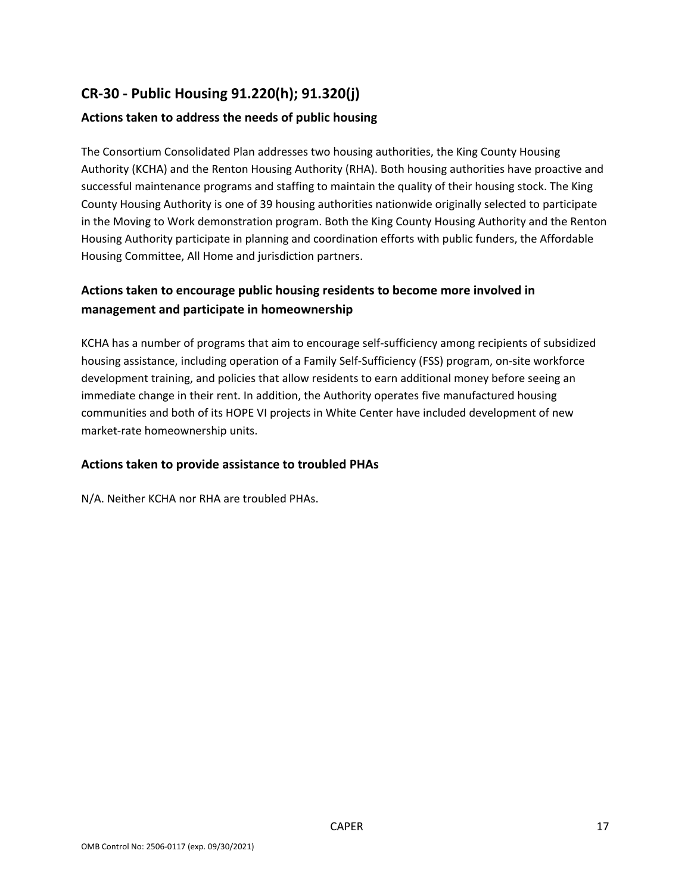# **CR-30 - Public Housing 91.220(h); 91.320(j)**

#### **Actions taken to address the needs of public housing**

The Consortium Consolidated Plan addresses two housing authorities, the King County Housing Authority (KCHA) and the Renton Housing Authority (RHA). Both housing authorities have proactive and successful maintenance programs and staffing to maintain the quality of their housing stock. The King County Housing Authority is one of 39 housing authorities nationwide originally selected to participate in the Moving to Work demonstration program. Both the King County Housing Authority and the Renton Housing Authority participate in planning and coordination efforts with public funders, the Affordable Housing Committee, All Home and jurisdiction partners.

### **Actions taken to encourage public housing residents to become more involved in management and participate in homeownership**

KCHA has a number of programs that aim to encourage self-sufficiency among recipients of subsidized housing assistance, including operation of a Family Self-Sufficiency (FSS) program, on-site workforce development training, and policies that allow residents to earn additional money before seeing an immediate change in their rent. In addition, the Authority operates five manufactured housing communities and both of its HOPE VI projects in White Center have included development of new market-rate homeownership units.

#### **Actions taken to provide assistance to troubled PHAs**

N/A. Neither KCHA nor RHA are troubled PHAs.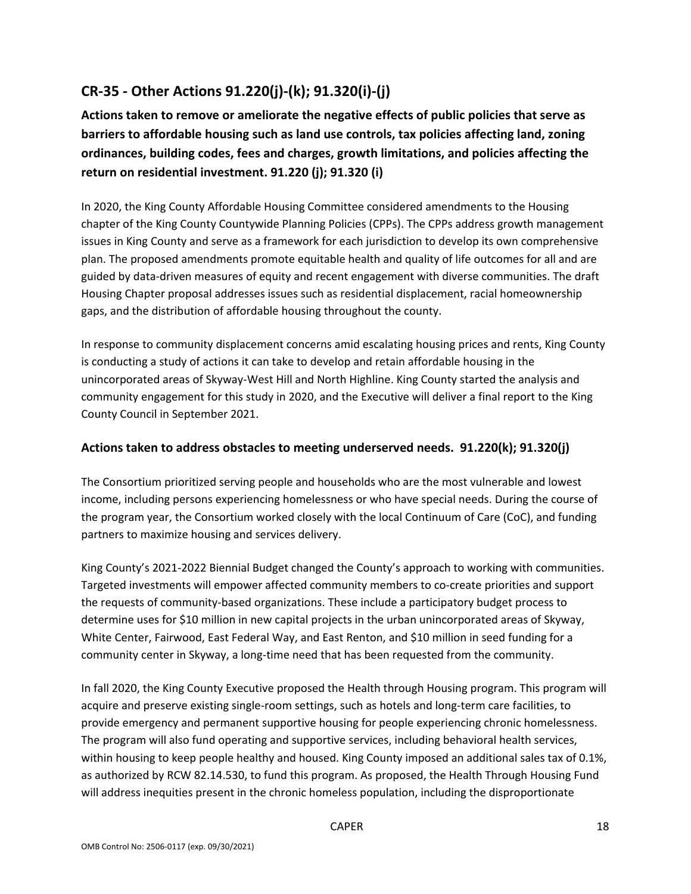# **CR-35 - Other Actions 91.220(j)-(k); 91.320(i)-(j)**

**Actions taken to remove or ameliorate the negative effects of public policies that serve as barriers to affordable housing such as land use controls, tax policies affecting land, zoning ordinances, building codes, fees and charges, growth limitations, and policies affecting the return on residential investment. 91.220 (j); 91.320 (i)**

In 2020, the King County Affordable Housing Committee considered amendments to the Housing chapter of the King County Countywide Planning Policies (CPPs). The CPPs address growth management issues in King County and serve as a framework for each jurisdiction to develop its own comprehensive plan. The proposed amendments promote equitable health and quality of life outcomes for all and are guided by data-driven measures of equity and recent engagement with diverse communities. The draft Housing Chapter proposal addresses issues such as residential displacement, racial homeownership gaps, and the distribution of affordable housing throughout the county.

In response to community displacement concerns amid escalating housing prices and rents, King County is conducting a study of actions it can take to develop and retain affordable housing in the unincorporated areas of Skyway-West Hill and North Highline. King County started the analysis and community engagement for this study in 2020, and the Executive will deliver a final report to the King County Council in September 2021.

### **Actions taken to address obstacles to meeting underserved needs. 91.220(k); 91.320(j)**

The Consortium prioritized serving people and households who are the most vulnerable and lowest income, including persons experiencing homelessness or who have special needs. During the course of the program year, the Consortium worked closely with the local Continuum of Care (CoC), and funding partners to maximize housing and services delivery.

King County's 2021-2022 Biennial Budget changed the County's approach to working with communities. Targeted investments will empower affected community members to co-create priorities and support the requests of community-based organizations. These include a participatory budget process to determine uses for \$10 million in new capital projects in the urban unincorporated areas of Skyway, White Center, Fairwood, East Federal Way, and East Renton, and \$10 million in seed funding for a community center in Skyway, a long-time need that has been requested from the community.

In fall 2020, the King County Executive proposed the Health through Housing program. This program will acquire and preserve existing single-room settings, such as hotels and long-term care facilities, to provide emergency and permanent supportive housing for people experiencing chronic homelessness. The program will also fund operating and supportive services, including behavioral health services, within housing to keep people healthy and housed. King County imposed an additional sales tax of 0.1%, as authorized by RCW 82.14.530, to fund this program. As proposed, the Health Through Housing Fund will address inequities present in the chronic homeless population, including the disproportionate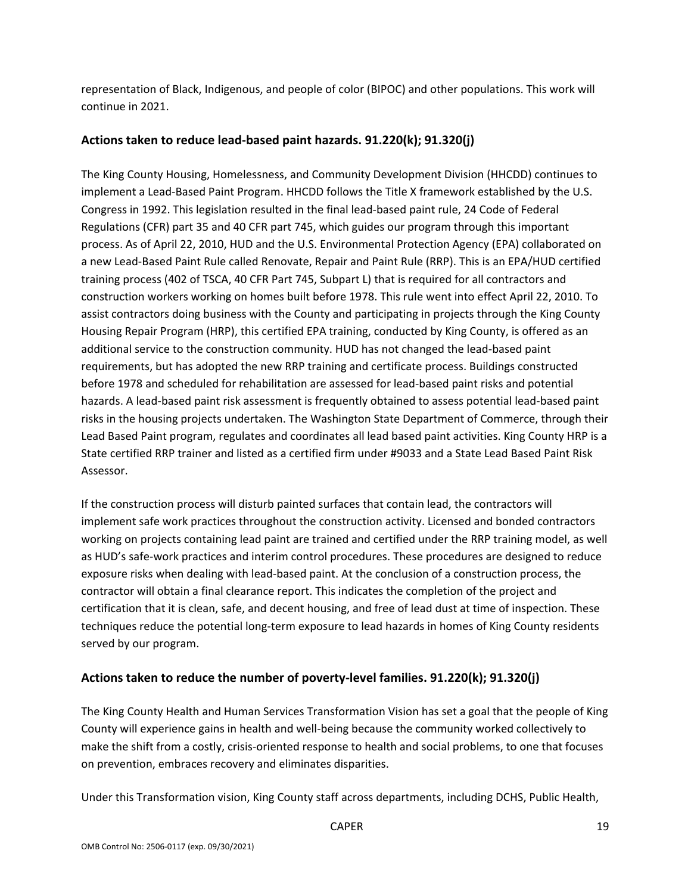representation of Black, Indigenous, and people of color (BIPOC) and other populations. This work will continue in 2021.

#### **Actions taken to reduce lead-based paint hazards. 91.220(k); 91.320(j)**

The King County Housing, Homelessness, and Community Development Division (HHCDD) continues to implement a Lead-Based Paint Program. HHCDD follows the Title X framework established by the U.S. Congress in 1992. This legislation resulted in the final lead-based paint rule, 24 Code of Federal Regulations (CFR) part 35 and 40 CFR part 745, which guides our program through this important process. As of April 22, 2010, HUD and the U.S. Environmental Protection Agency (EPA) collaborated on a new Lead-Based Paint Rule called Renovate, Repair and Paint Rule (RRP). This is an EPA/HUD certified training process (402 of TSCA, 40 CFR Part 745, Subpart L) that is required for all contractors and construction workers working on homes built before 1978. This rule went into effect April 22, 2010. To assist contractors doing business with the County and participating in projects through the King County Housing Repair Program (HRP), this certified EPA training, conducted by King County, is offered as an additional service to the construction community. HUD has not changed the lead-based paint requirements, but has adopted the new RRP training and certificate process. Buildings constructed before 1978 and scheduled for rehabilitation are assessed for lead-based paint risks and potential hazards. A lead-based paint risk assessment is frequently obtained to assess potential lead-based paint risks in the housing projects undertaken. The Washington State Department of Commerce, through their Lead Based Paint program, regulates and coordinates all lead based paint activities. King County HRP is a State certified RRP trainer and listed as a certified firm under #9033 and a State Lead Based Paint Risk Assessor.

If the construction process will disturb painted surfaces that contain lead, the contractors will implement safe work practices throughout the construction activity. Licensed and bonded contractors working on projects containing lead paint are trained and certified under the RRP training model, as well as HUD's safe-work practices and interim control procedures. These procedures are designed to reduce exposure risks when dealing with lead-based paint. At the conclusion of a construction process, the contractor will obtain a final clearance report. This indicates the completion of the project and certification that it is clean, safe, and decent housing, and free of lead dust at time of inspection. These techniques reduce the potential long-term exposure to lead hazards in homes of King County residents served by our program.

### **Actions taken to reduce the number of poverty-level families. 91.220(k); 91.320(j)**

The King County Health and Human Services Transformation Vision has set a goal that the people of King County will experience gains in health and well-being because the community worked collectively to make the shift from a costly, crisis-oriented response to health and social problems, to one that focuses on prevention, embraces recovery and eliminates disparities.

Under this Transformation vision, King County staff across departments, including DCHS, Public Health,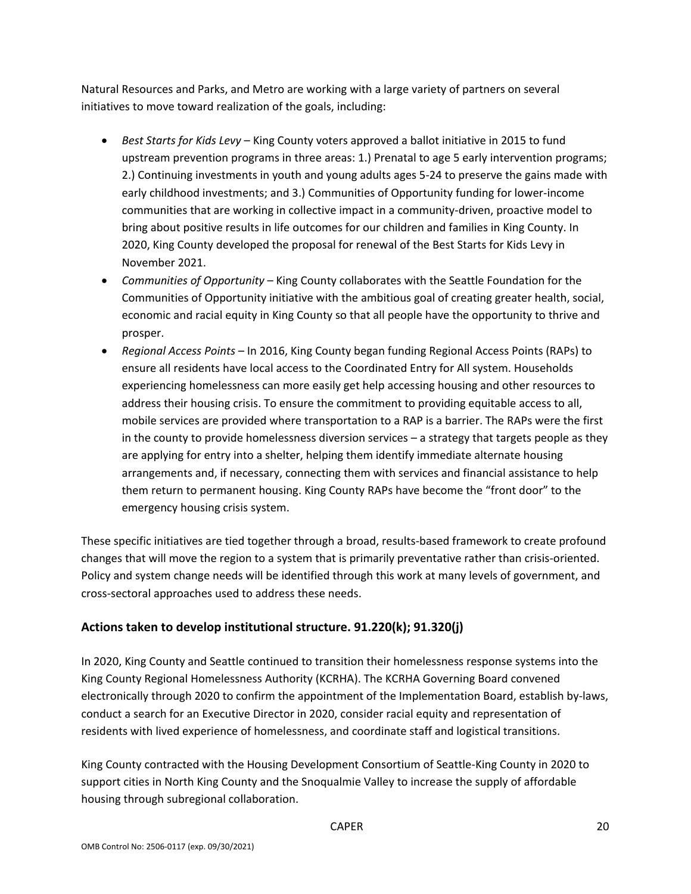Natural Resources and Parks, and Metro are working with a large variety of partners on several initiatives to move toward realization of the goals, including:

- *Best Starts for Kids Levy* King County voters approved a ballot initiative in 2015 to fund upstream prevention programs in three areas: 1.) Prenatal to age 5 early intervention programs; 2.) Continuing investments in youth and young adults ages 5-24 to preserve the gains made with early childhood investments; and 3.) Communities of Opportunity funding for lower-income communities that are working in collective impact in a community-driven, proactive model to bring about positive results in life outcomes for our children and families in King County. In 2020, King County developed the proposal for renewal of the Best Starts for Kids Levy in November 2021.
- *Communities of Opportunity*  King County collaborates with the Seattle Foundation for the Communities of Opportunity initiative with the ambitious goal of creating greater health, social, economic and racial equity in King County so that all people have the opportunity to thrive and prosper.
- *Regional Access Points*  In 2016, King County began funding Regional Access Points (RAPs) to ensure all residents have local access to the Coordinated Entry for All system. Households experiencing homelessness can more easily get help accessing housing and other resources to address their housing crisis. To ensure the commitment to providing equitable access to all, mobile services are provided where transportation to a RAP is a barrier. The RAPs were the first in the county to provide homelessness diversion services – a strategy that targets people as they are applying for entry into a shelter, helping them identify immediate alternate housing arrangements and, if necessary, connecting them with services and financial assistance to help them return to permanent housing. King County RAPs have become the "front door" to the emergency housing crisis system.

These specific initiatives are tied together through a broad, results-based framework to create profound changes that will move the region to a system that is primarily preventative rather than crisis-oriented. Policy and system change needs will be identified through this work at many levels of government, and cross-sectoral approaches used to address these needs.

### **Actions taken to develop institutional structure. 91.220(k); 91.320(j)**

In 2020, King County and Seattle continued to transition their homelessness response systems into the King County Regional Homelessness Authority (KCRHA). The KCRHA Governing Board convened electronically through 2020 to confirm the appointment of the Implementation Board, establish by-laws, conduct a search for an Executive Director in 2020, consider racial equity and representation of residents with lived experience of homelessness, and coordinate staff and logistical transitions.

King County contracted with the Housing Development Consortium of Seattle-King County in 2020 to support cities in North King County and the Snoqualmie Valley to increase the supply of affordable housing through subregional collaboration.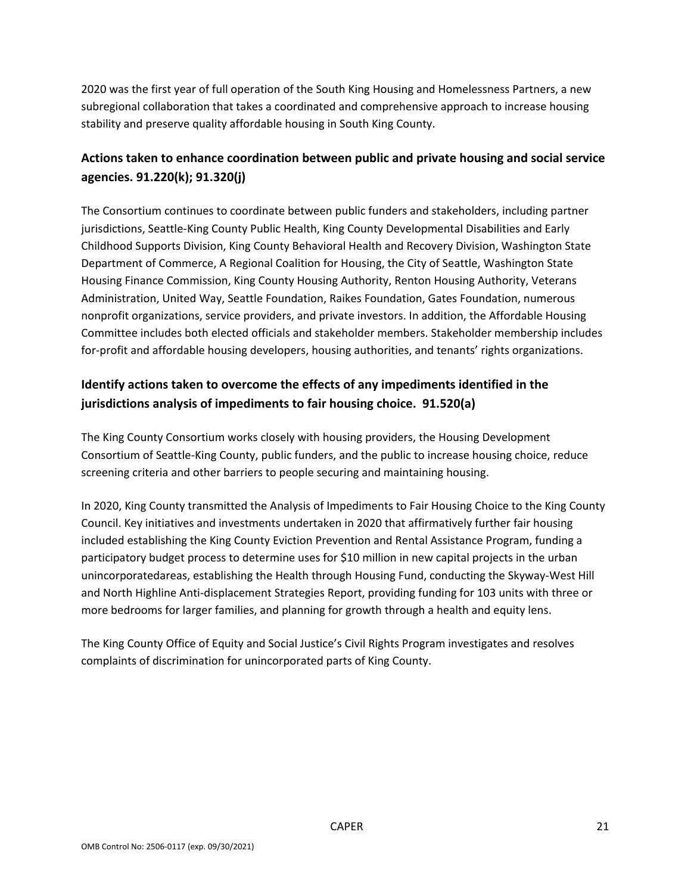2020 was the first year of full operation of the South King Housing and Homelessness Partners, a new subregional collaboration that takes a coordinated and comprehensive approach to increase housing stability and preserve quality affordable housing in South King County.

### **Actions taken to enhance coordination between public and private housing and social service agencies. 91.220(k); 91.320(j)**

The Consortium continues to coordinate between public funders and stakeholders, including partner jurisdictions, Seattle-King County Public Health, King County Developmental Disabilities and Early Childhood Supports Division, King County Behavioral Health and Recovery Division, Washington State Department of Commerce, A Regional Coalition for Housing, the City of Seattle, Washington State Housing Finance Commission, King County Housing Authority, Renton Housing Authority, Veterans Administration, United Way, Seattle Foundation, Raikes Foundation, Gates Foundation, numerous nonprofit organizations, service providers, and private investors. In addition, the Affordable Housing Committee includes both elected officials and stakeholder members. Stakeholder membership includes for-profit and affordable housing developers, housing authorities, and tenants' rights organizations.

# **Identify actions taken to overcome the effects of any impediments identified in the jurisdictions analysis of impediments to fair housing choice. 91.520(a)**

The King County Consortium works closely with housing providers, the Housing Development Consortium of Seattle-King County, public funders, and the public to increase housing choice, reduce screening criteria and other barriers to people securing and maintaining housing.

In 2020, King County transmitted the Analysis of Impediments to Fair Housing Choice to the King County Council. Key initiatives and investments undertaken in 2020 that affirmatively further fair housing included establishing the King County Eviction Prevention and Rental Assistance Program, funding a participatory budget process to determine uses for \$10 million in new capital projects in the urban unincorporatedareas, establishing the Health through Housing Fund, conducting the Skyway-West Hill and North Highline Anti-displacement Strategies Report, providing funding for 103 units with three or more bedrooms for larger families, and planning for growth through a health and equity lens.

The King County Office of Equity and Social Justice's Civil Rights Program investigates and resolves complaints of discrimination for unincorporated parts of King County.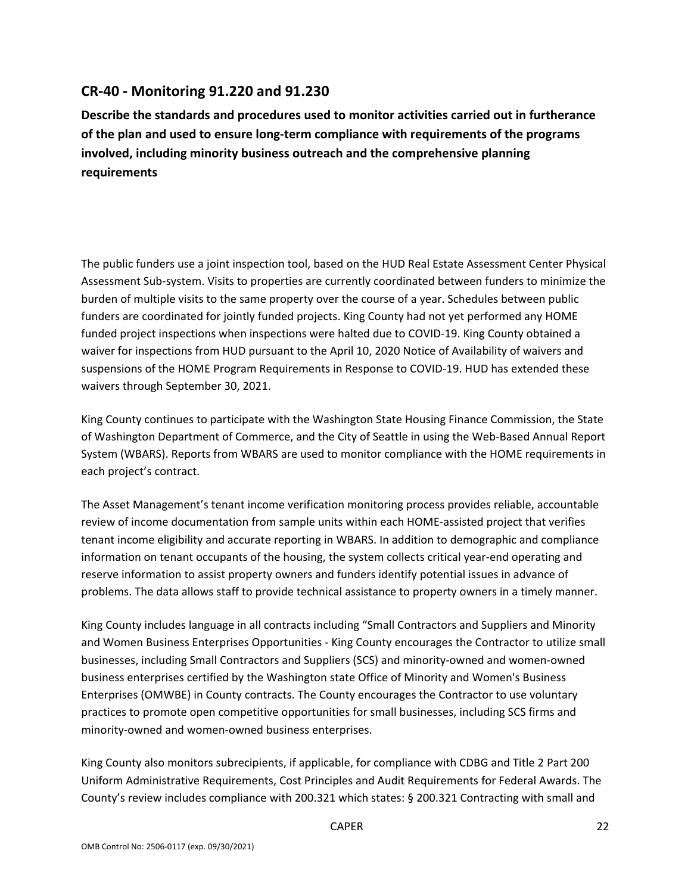### **CR-40 - Monitoring 91.220 and 91.230**

**Describe the standards and procedures used to monitor activities carried out in furtherance of the plan and used to ensure long-term compliance with requirements of the programs involved, including minority business outreach and the comprehensive planning requirements**

The public funders use a joint inspection tool, based on the HUD Real Estate Assessment Center Physical Assessment Sub-system. Visits to properties are currently coordinated between funders to minimize the burden of multiple visits to the same property over the course of a year. Schedules between public funders are coordinated for jointly funded projects. King County had not yet performed any HOME funded project inspections when inspections were halted due to COVID-19. King County obtained a waiver for inspections from HUD pursuant to the April 10, 2020 Notice of Availability of waivers and suspensions of the HOME Program Requirements in Response to COVID-19. HUD has extended these waivers through September 30, 2021.

King County continues to participate with the Washington State Housing Finance Commission, the State of Washington Department of Commerce, and the City of Seattle in using the Web-Based Annual Report System (WBARS). Reports from WBARS are used to monitor compliance with the HOME requirements in each project's contract.

The Asset Management's tenant income verification monitoring process provides reliable, accountable review of income documentation from sample units within each HOME-assisted project that verifies tenant income eligibility and accurate reporting in WBARS. In addition to demographic and compliance information on tenant occupants of the housing, the system collects critical year-end operating and reserve information to assist property owners and funders identify potential issues in advance of problems. The data allows staff to provide technical assistance to property owners in a timely manner.

King County includes language in all contracts including "Small Contractors and Suppliers and Minority and Women Business Enterprises Opportunities - King County encourages the Contractor to utilize small businesses, including Small Contractors and Suppliers (SCS) and minority-owned and women-owned business enterprises certified by the Washington state Office of Minority and Women's Business Enterprises (OMWBE) in County contracts. The County encourages the Contractor to use voluntary practices to promote open competitive opportunities for small businesses, including SCS firms and minority-owned and women-owned business enterprises.

King County also monitors subrecipients, if applicable, for compliance with CDBG and Title 2 Part 200 Uniform Administrative Requirements, Cost Principles and Audit Requirements for Federal Awards. The County's review includes compliance with 200.321 which states: § 200.321 Contracting with small and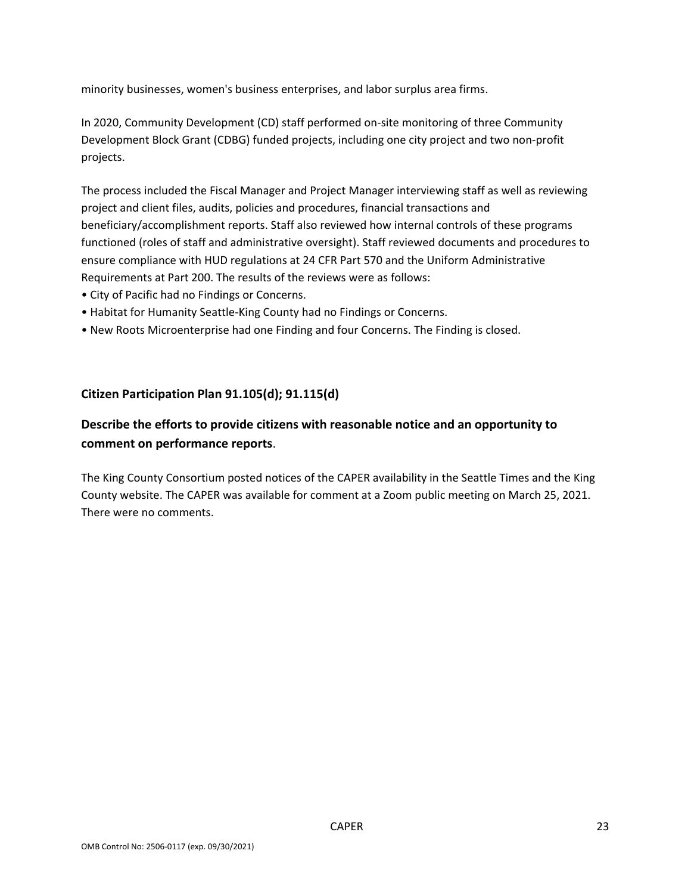minority businesses, women's business enterprises, and labor surplus area firms.

In 2020, Community Development (CD) staff performed on-site monitoring of three Community Development Block Grant (CDBG) funded projects, including one city project and two non-profit projects.

The process included the Fiscal Manager and Project Manager interviewing staff as well as reviewing project and client files, audits, policies and procedures, financial transactions and beneficiary/accomplishment reports. Staff also reviewed how internal controls of these programs functioned (roles of staff and administrative oversight). Staff reviewed documents and procedures to ensure compliance with HUD regulations at 24 CFR Part 570 and the Uniform Administrative Requirements at Part 200. The results of the reviews were as follows:

- City of Pacific had no Findings or Concerns.
- Habitat for Humanity Seattle-King County had no Findings or Concerns.
- New Roots Microenterprise had one Finding and four Concerns. The Finding is closed.

#### **Citizen Participation Plan 91.105(d); 91.115(d)**

### **Describe the efforts to provide citizens with reasonable notice and an opportunity to comment on performance reports**.

The King County Consortium posted notices of the CAPER availability in the Seattle Times and the King County website. The CAPER was available for comment at a Zoom public meeting on March 25, 2021. There were no comments.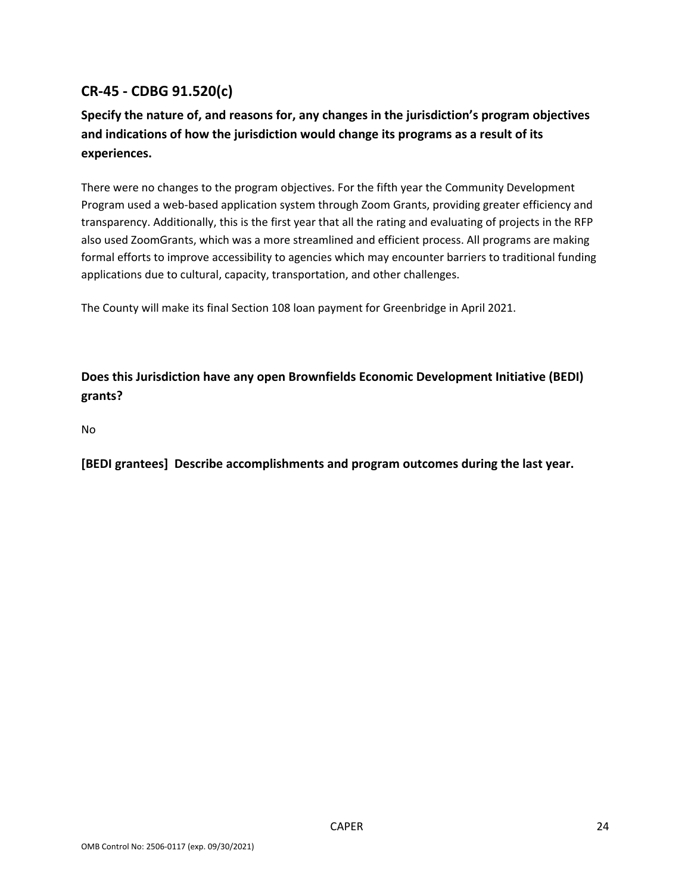# **CR-45 - CDBG 91.520(c)**

# **Specify the nature of, and reasons for, any changes in the jurisdiction's program objectives and indications of how the jurisdiction would change its programs as a result of its experiences.**

There were no changes to the program objectives. For the fifth year the Community Development Program used a web-based application system through Zoom Grants, providing greater efficiency and transparency. Additionally, this is the first year that all the rating and evaluating of projects in the RFP also used ZoomGrants, which was a more streamlined and efficient process. All programs are making formal efforts to improve accessibility to agencies which may encounter barriers to traditional funding applications due to cultural, capacity, transportation, and other challenges.

The County will make its final Section 108 loan payment for Greenbridge in April 2021.

**Does this Jurisdiction have any open Brownfields Economic Development Initiative (BEDI) grants?**

No

**[BEDI grantees] Describe accomplishments and program outcomes during the last year.**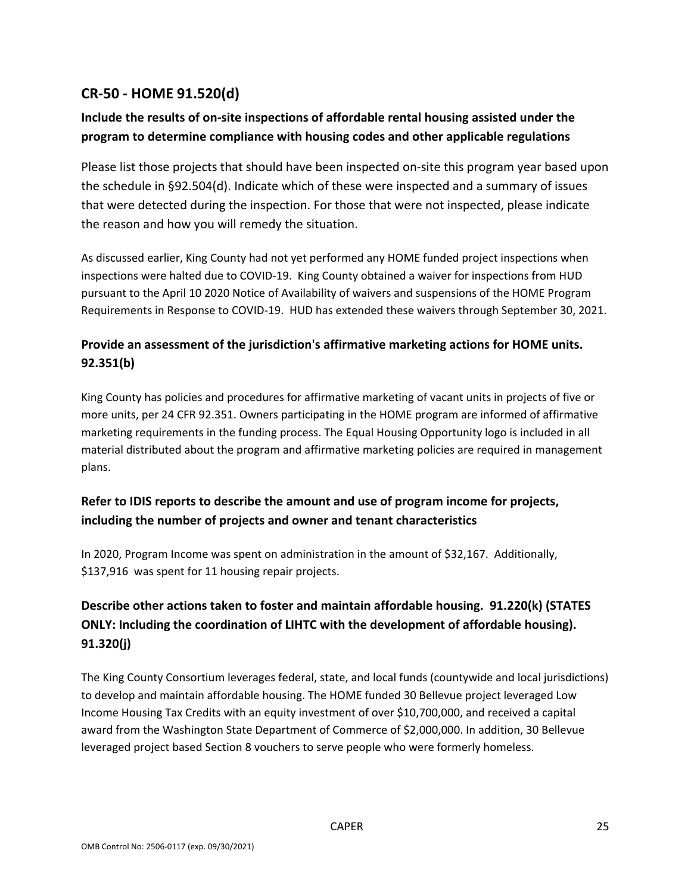# **CR-50 - HOME 91.520(d)**

# **Include the results of on-site inspections of affordable rental housing assisted under the program to determine compliance with housing codes and other applicable regulations**

Please list those projects that should have been inspected on-site this program year based upon the schedule in §92.504(d). Indicate which of these were inspected and a summary of issues that were detected during the inspection. For those that were not inspected, please indicate the reason and how you will remedy the situation.

As discussed earlier, King County had not yet performed any HOME funded project inspections when inspections were halted due to COVID-19. King County obtained a waiver for inspections from HUD pursuant to the April 10 2020 Notice of Availability of waivers and suspensions of the HOME Program Requirements in Response to COVID-19. HUD has extended these waivers through September 30, 2021.

# **Provide an assessment of the jurisdiction's affirmative marketing actions for HOME units. 92.351(b)**

King County has policies and procedures for affirmative marketing of vacant units in projects of five or more units, per 24 CFR 92.351. Owners participating in the HOME program are informed of affirmative marketing requirements in the funding process. The Equal Housing Opportunity logo is included in all material distributed about the program and affirmative marketing policies are required in management plans.

# **Refer to IDIS reports to describe the amount and use of program income for projects, including the number of projects and owner and tenant characteristics**

In 2020, Program Income was spent on administration in the amount of \$32,167. Additionally, \$137,916 was spent for 11 housing repair projects.

# **Describe other actions taken to foster and maintain affordable housing. 91.220(k) (STATES ONLY: Including the coordination of LIHTC with the development of affordable housing). 91.320(j)**

The King County Consortium leverages federal, state, and local funds (countywide and local jurisdictions) to develop and maintain affordable housing. The HOME funded 30 Bellevue project leveraged Low Income Housing Tax Credits with an equity investment of over \$10,700,000, and received a capital award from the Washington State Department of Commerce of \$2,000,000. In addition, 30 Bellevue leveraged project based Section 8 vouchers to serve people who were formerly homeless.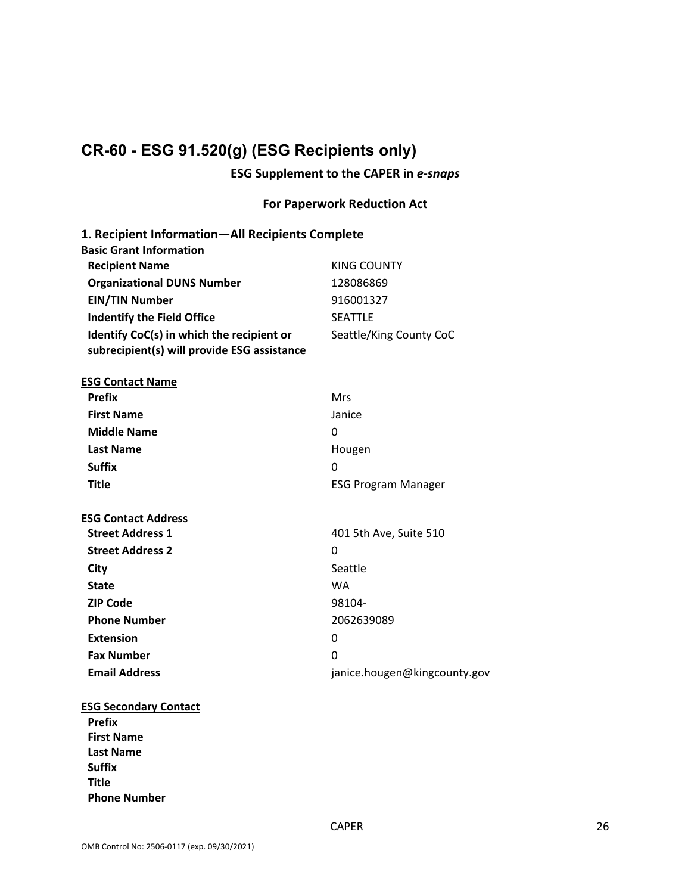# **CR-60 - ESG 91.520(g) (ESG Recipients only)**

### **ESG Supplement to the CAPER in** *e-snaps*

### **For Paperwork Reduction Act**

| 1. Recipient Information-All Recipients Complete                                         |                              |
|------------------------------------------------------------------------------------------|------------------------------|
| <b>Basic Grant Information</b><br><b>Recipient Name</b>                                  | <b>KING COUNTY</b>           |
|                                                                                          | 128086869                    |
| <b>Organizational DUNS Number</b>                                                        | 916001327                    |
| <b>EIN/TIN Number</b>                                                                    |                              |
| <b>Indentify the Field Office</b>                                                        | <b>SEATTLE</b>               |
| Identify CoC(s) in which the recipient or<br>subrecipient(s) will provide ESG assistance | Seattle/King County CoC      |
| <b>ESG Contact Name</b>                                                                  |                              |
| <b>Prefix</b>                                                                            | <b>Mrs</b>                   |
| <b>First Name</b>                                                                        | Janice                       |
| <b>Middle Name</b>                                                                       | 0                            |
| <b>Last Name</b>                                                                         | Hougen                       |
| <b>Suffix</b>                                                                            | 0                            |
| <b>Title</b>                                                                             | <b>ESG Program Manager</b>   |
| <b>ESG Contact Address</b>                                                               |                              |
| <b>Street Address 1</b>                                                                  | 401 5th Ave, Suite 510       |
| <b>Street Address 2</b>                                                                  | 0                            |
| City                                                                                     | Seattle                      |
| <b>State</b>                                                                             | <b>WA</b>                    |
| <b>ZIP Code</b>                                                                          | 98104-                       |
| <b>Phone Number</b>                                                                      | 2062639089                   |
| <b>Extension</b>                                                                         | 0                            |
| <b>Fax Number</b>                                                                        | 0                            |
| <b>Email Address</b>                                                                     | janice.hougen@kingcounty.gov |
| <b>ESG Secondary Contact</b>                                                             |                              |
| <b>Prefix</b>                                                                            |                              |
| <b>First Name</b>                                                                        |                              |
| <b>Last Name</b>                                                                         |                              |
| Suffix                                                                                   |                              |

**Title**

**Phone Number**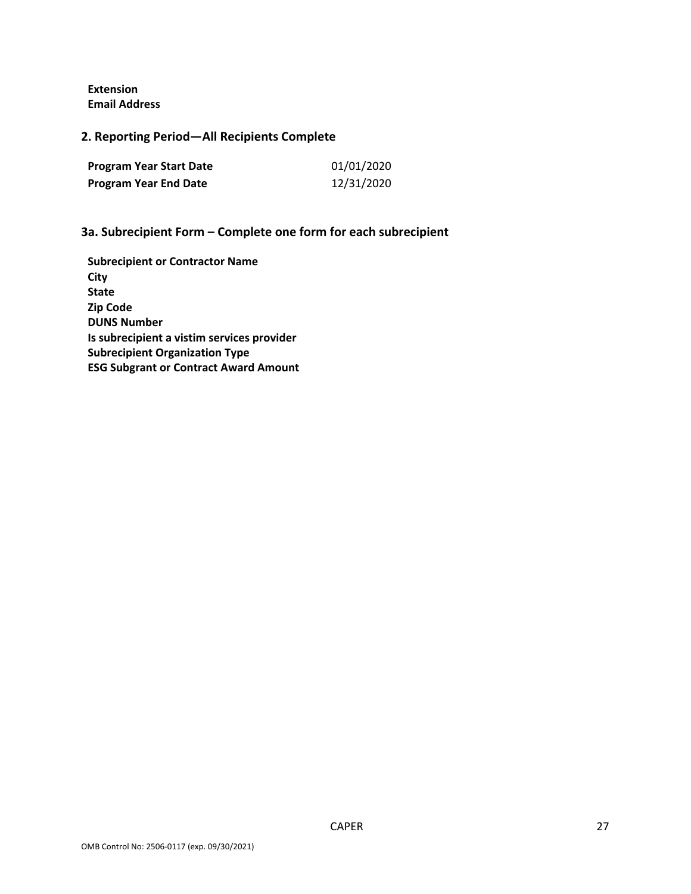**Extension Email Address**

**2. Reporting Period—All Recipients Complete** 

| <b>Program Year Start Date</b> | 01/01/2020 |
|--------------------------------|------------|
| <b>Program Year End Date</b>   | 12/31/2020 |

### **3a. Subrecipient Form – Complete one form for each subrecipient**

**Subrecipient or Contractor Name City State Zip Code DUNS Number Is subrecipient a vistim services provider Subrecipient Organization Type ESG Subgrant or Contract Award Amount**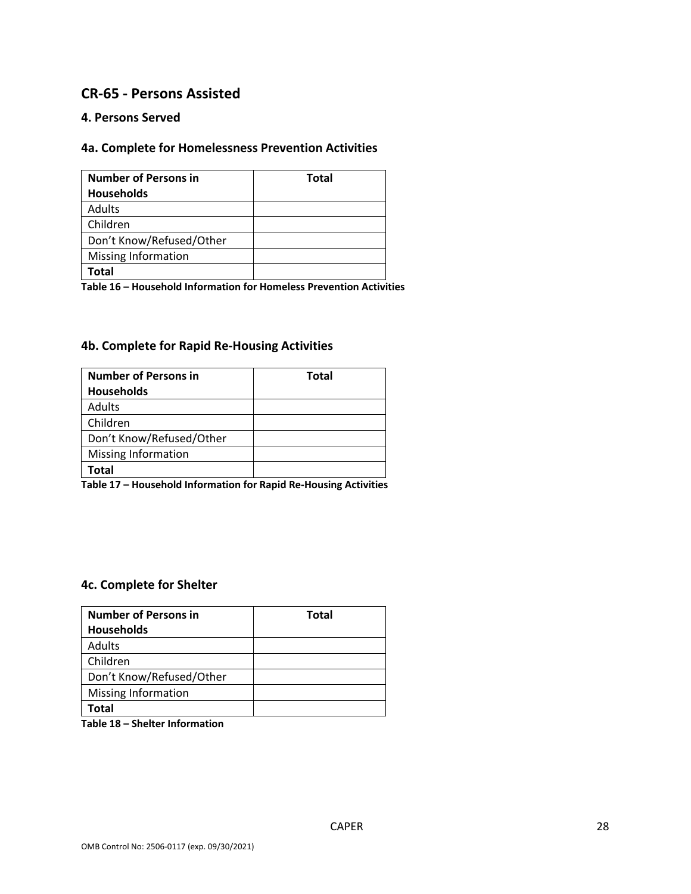### **CR-65 - Persons Assisted**

#### **4. Persons Served**

### **4a. Complete for Homelessness Prevention Activities**

| <b>Number of Persons in</b> | <b>Total</b> |
|-----------------------------|--------------|
| <b>Households</b>           |              |
| Adults                      |              |
| Children                    |              |
| Don't Know/Refused/Other    |              |
| <b>Missing Information</b>  |              |
| Total                       |              |

**Table 16 – Household Information for Homeless Prevention Activities**

#### **4b. Complete for Rapid Re-Housing Activities**

| <b>Number of Persons in</b> | Total |
|-----------------------------|-------|
| <b>Households</b>           |       |
| Adults                      |       |
| Children                    |       |
| Don't Know/Refused/Other    |       |
| <b>Missing Information</b>  |       |
| Total                       |       |

**Table 17 – Household Information for Rapid Re-Housing Activities**

#### **4c. Complete for Shelter**

| <b>Number of Persons in</b> | <b>Total</b> |
|-----------------------------|--------------|
| <b>Households</b>           |              |
| Adults                      |              |
| Children                    |              |
| Don't Know/Refused/Other    |              |
| <b>Missing Information</b>  |              |
| Total                       |              |

**Table 18 – Shelter Information**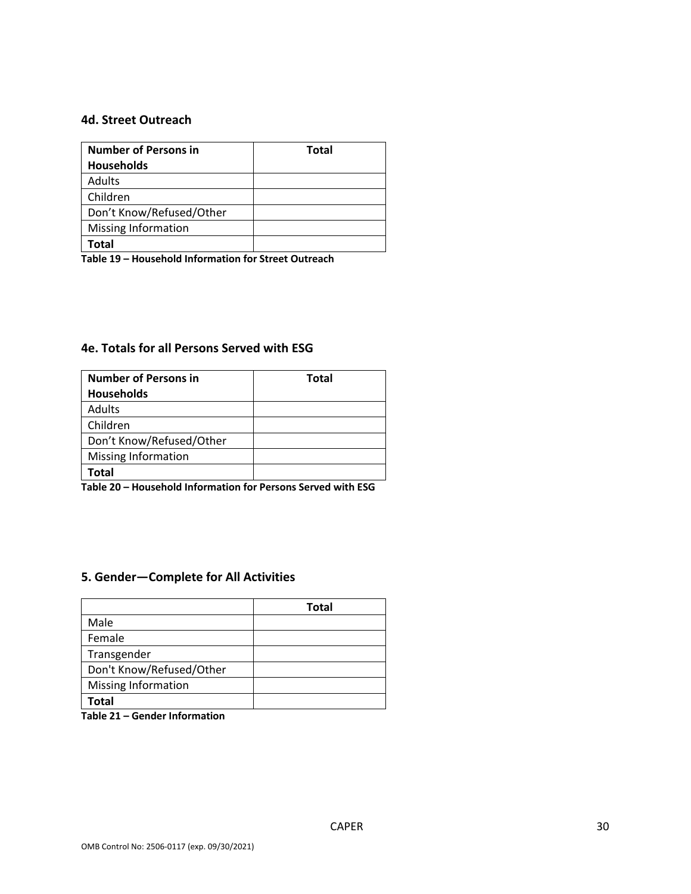#### **4d. Street Outreach**

| <b>Number of Persons in</b> | <b>Total</b> |
|-----------------------------|--------------|
| <b>Households</b>           |              |
| Adults                      |              |
| Children                    |              |
| Don't Know/Refused/Other    |              |
| Missing Information         |              |
| Total                       |              |

**Table 19 – Household Information for Street Outreach** 

### **4e. Totals for all Persons Served with ESG**

| <b>Number of Persons in</b> | <b>Total</b> |
|-----------------------------|--------------|
| <b>Households</b>           |              |
| Adults                      |              |
| Children                    |              |
| Don't Know/Refused/Other    |              |
| Missing Information         |              |
| Total                       |              |

**Table 20 – Household Information for Persons Served with ESG**

### **5. Gender—Complete for All Activities**

|                            | <b>Total</b> |
|----------------------------|--------------|
| Male                       |              |
| Female                     |              |
| Transgender                |              |
| Don't Know/Refused/Other   |              |
| <b>Missing Information</b> |              |
| Total                      |              |

**Table 21 – Gender Information**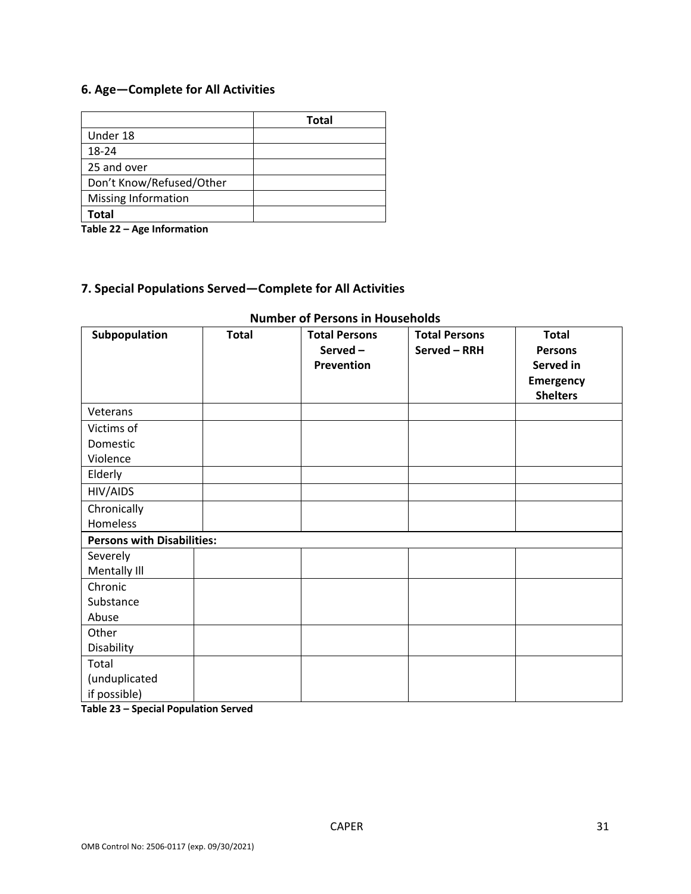### **6. Age—Complete for All Activities**

|                          | <b>Total</b> |
|--------------------------|--------------|
| Under 18                 |              |
| 18-24                    |              |
| 25 and over              |              |
| Don't Know/Refused/Other |              |
| Missing Information      |              |
| <b>Total</b>             |              |

**Table 22 – Age Information**

# **7. Special Populations Served—Complete for All Activities**

| Subpopulation                     | <b>Total</b> | <b>Total Persons</b> | <b>Total Persons</b> | <b>Total</b>    |
|-----------------------------------|--------------|----------------------|----------------------|-----------------|
|                                   |              | Served-              | Served - RRH         | <b>Persons</b>  |
|                                   |              | Prevention           |                      | Served in       |
|                                   |              |                      |                      | Emergency       |
|                                   |              |                      |                      | <b>Shelters</b> |
| Veterans                          |              |                      |                      |                 |
| Victims of                        |              |                      |                      |                 |
| Domestic                          |              |                      |                      |                 |
| Violence                          |              |                      |                      |                 |
| Elderly                           |              |                      |                      |                 |
| HIV/AIDS                          |              |                      |                      |                 |
| Chronically                       |              |                      |                      |                 |
| Homeless                          |              |                      |                      |                 |
| <b>Persons with Disabilities:</b> |              |                      |                      |                 |
| Severely                          |              |                      |                      |                 |
| Mentally III                      |              |                      |                      |                 |
| Chronic                           |              |                      |                      |                 |
| Substance                         |              |                      |                      |                 |
| Abuse                             |              |                      |                      |                 |
| Other                             |              |                      |                      |                 |
| Disability                        |              |                      |                      |                 |
| Total                             |              |                      |                      |                 |
| (unduplicated                     |              |                      |                      |                 |
| if possible)                      |              |                      |                      |                 |

#### **Number of Persons in Households**

**Table 23 – Special Population Served**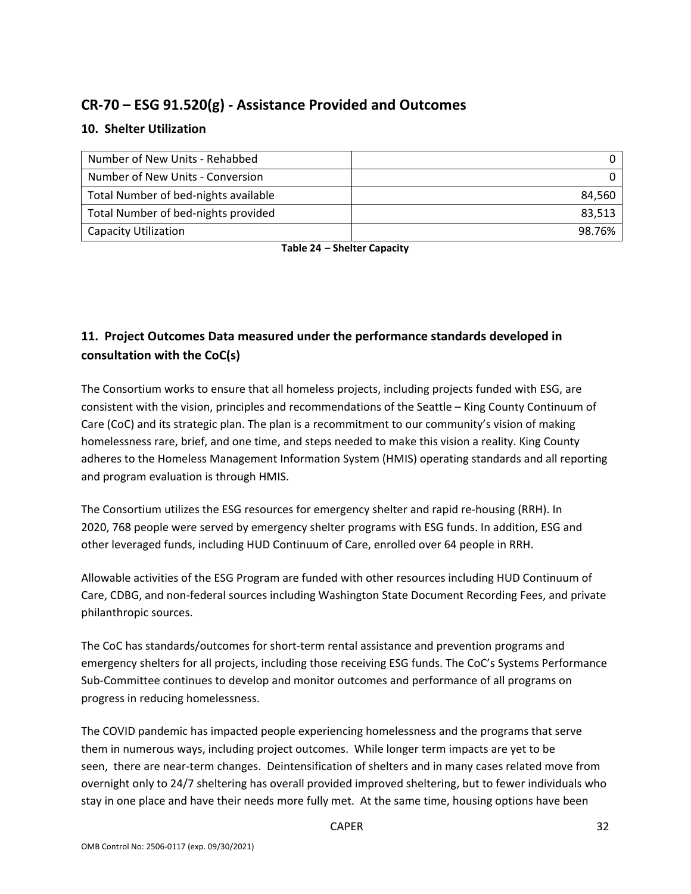# **CR-70 – ESG 91.520(g) - Assistance Provided and Outcomes**

### **10. Shelter Utilization**

| Number of New Units - Rehabbed       |        |
|--------------------------------------|--------|
| Number of New Units - Conversion     |        |
| Total Number of bed-nights available | 84.560 |
| Total Number of bed-nights provided  | 83.513 |
| <b>Capacity Utilization</b>          | 98.76% |

**Table 24 – Shelter Capacity**

# **11. Project Outcomes Data measured under the performance standards developed in consultation with the CoC(s)**

The Consortium works to ensure that all homeless projects, including projects funded with ESG, are consistent with the vision, principles and recommendations of the Seattle – King County Continuum of Care (CoC) and its strategic plan. The plan is a recommitment to our community's vision of making homelessness rare, brief, and one time, and steps needed to make this vision a reality. King County adheres to the Homeless Management Information System (HMIS) operating standards and all reporting and program evaluation is through HMIS.

The Consortium utilizes the ESG resources for emergency shelter and rapid re-housing (RRH). In 2020, 768 people were served by emergency shelter programs with ESG funds. In addition, ESG and other leveraged funds, including HUD Continuum of Care, enrolled over 64 people in RRH.

Allowable activities of the ESG Program are funded with other resources including HUD Continuum of Care, CDBG, and non-federal sources including Washington State Document Recording Fees, and private philanthropic sources.

The CoC has standards/outcomes for short-term rental assistance and prevention programs and emergency shelters for all projects, including those receiving ESG funds. The CoC's Systems Performance Sub-Committee continues to develop and monitor outcomes and performance of all programs on progress in reducing homelessness.

The COVID pandemic has impacted people experiencing homelessness and the programs that serve them in numerous ways, including project outcomes. While longer term impacts are yet to be seen, there are near-term changes. Deintensification of shelters and in many cases related move from overnight only to 24/7 sheltering has overall provided improved sheltering, but to fewer individuals who stay in one place and have their needs more fully met. At the same time, housing options have been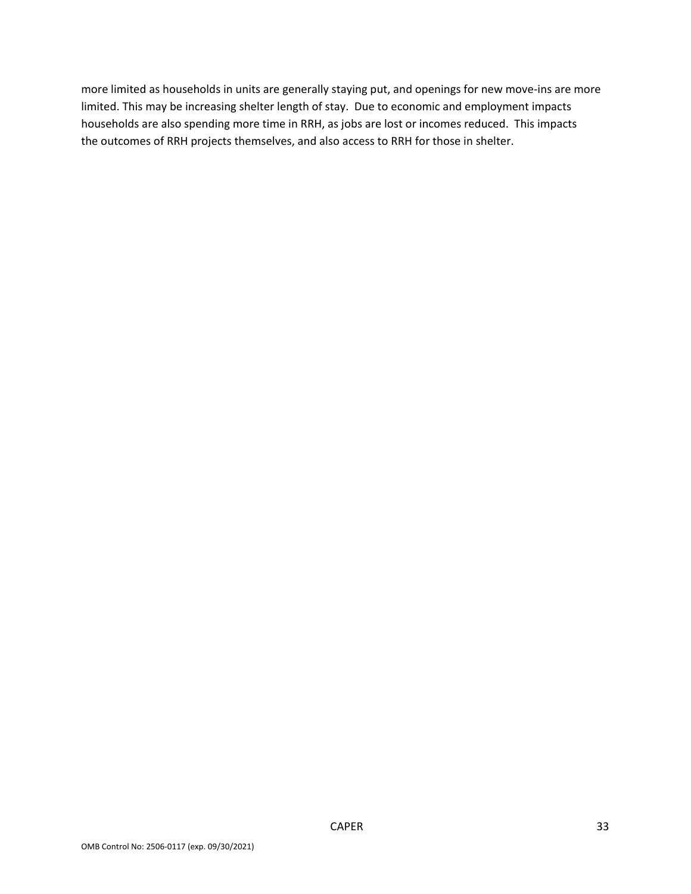more limited as households in units are generally staying put, and openings for new move-ins are more limited. This may be increasing shelter length of stay. Due to economic and employment impacts households are also spending more time in RRH, as jobs are lost or incomes reduced. This impacts the outcomes of RRH projects themselves, and also access to RRH for those in shelter.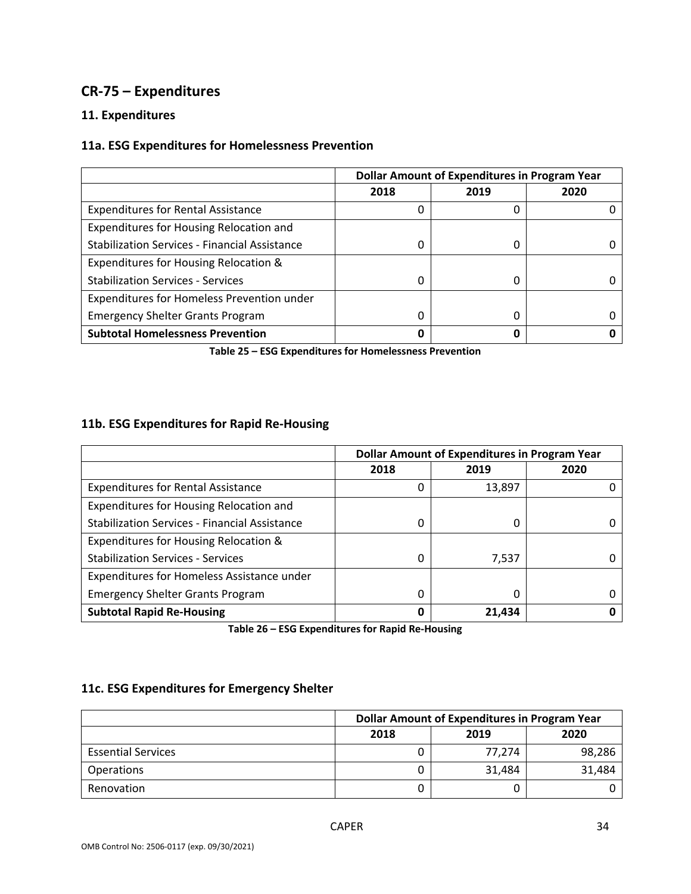# **CR-75 – Expenditures**

### **11. Expenditures**

### **11a. ESG Expenditures for Homelessness Prevention**

|                                                      | <b>Dollar Amount of Expenditures in Program Year</b> |      |      |
|------------------------------------------------------|------------------------------------------------------|------|------|
|                                                      | 2018                                                 | 2019 | 2020 |
| <b>Expenditures for Rental Assistance</b>            |                                                      | 0    |      |
| Expenditures for Housing Relocation and              |                                                      |      |      |
| <b>Stabilization Services - Financial Assistance</b> |                                                      | 0    |      |
| Expenditures for Housing Relocation &                |                                                      |      |      |
| <b>Stabilization Services - Services</b>             | <sup>0</sup>                                         | 0    |      |
| Expenditures for Homeless Prevention under           |                                                      |      |      |
| <b>Emergency Shelter Grants Program</b>              |                                                      | 0    |      |
| <b>Subtotal Homelessness Prevention</b>              |                                                      | 0    |      |

**Table 25 – ESG Expenditures for Homelessness Prevention**

### **11b. ESG Expenditures for Rapid Re-Housing**

|                                                      | <b>Dollar Amount of Expenditures in Program Year</b> |        |      |
|------------------------------------------------------|------------------------------------------------------|--------|------|
|                                                      | 2018                                                 | 2019   | 2020 |
| <b>Expenditures for Rental Assistance</b>            |                                                      | 13,897 |      |
| Expenditures for Housing Relocation and              |                                                      |        |      |
| <b>Stabilization Services - Financial Assistance</b> |                                                      | 0      |      |
| Expenditures for Housing Relocation &                |                                                      |        |      |
| <b>Stabilization Services - Services</b>             | <sup>0</sup>                                         | 7,537  |      |
| Expenditures for Homeless Assistance under           |                                                      |        |      |
| <b>Emergency Shelter Grants Program</b>              |                                                      | 0      |      |
| <b>Subtotal Rapid Re-Housing</b>                     | 0                                                    | 21,434 |      |

**Table 26 – ESG Expenditures for Rapid Re-Housing**

#### **11c. ESG Expenditures for Emergency Shelter**

|                           | Dollar Amount of Expenditures in Program Year |        |        |
|---------------------------|-----------------------------------------------|--------|--------|
|                           | 2018                                          | 2019   | 2020   |
| <b>Essential Services</b> |                                               | 77.274 | 98,286 |
| <b>Operations</b>         |                                               | 31,484 | 31,484 |
| Renovation                |                                               |        |        |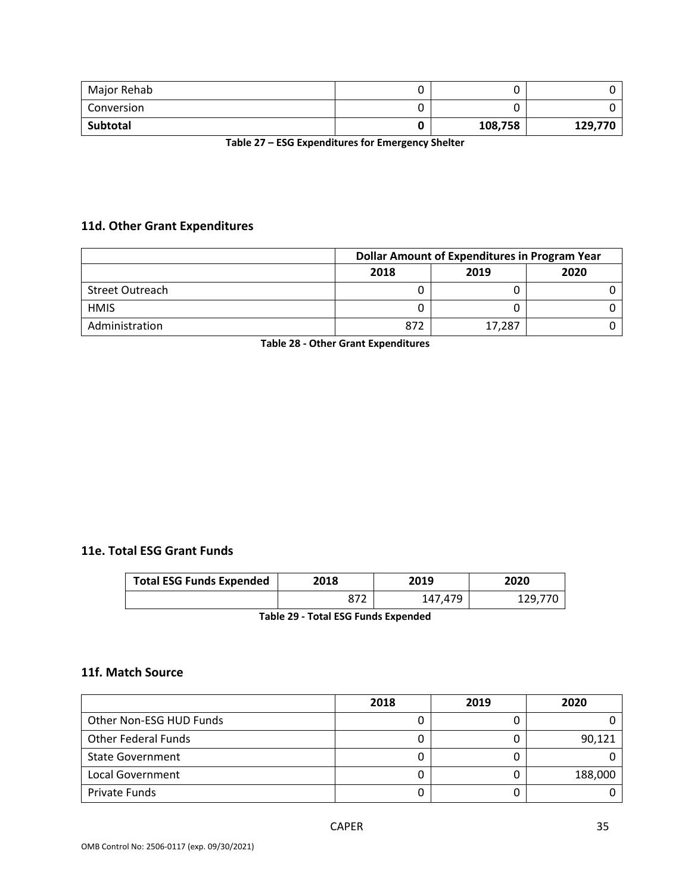| Major Rehab | U       |         |
|-------------|---------|---------|
| Conversion  |         |         |
| Subtotal    | 108,758 | 129,770 |

**Table 27 – ESG Expenditures for Emergency Shelter**

### **11d. Other Grant Expenditures**

|                 | Dollar Amount of Expenditures in Program Year |        |      |
|-----------------|-----------------------------------------------|--------|------|
|                 | 2018                                          | 2019   | 2020 |
| Street Outreach |                                               |        |      |
| <b>HMIS</b>     |                                               |        |      |
| Administration  | 872                                           | 17,287 |      |

**Table 28 - Other Grant Expenditures**

#### **11e. Total ESG Grant Funds**

| <b>Total ESG Funds Expended</b> | 2018 | 2019    | 2020    |
|---------------------------------|------|---------|---------|
|                                 |      | 147,479 | 129.770 |

**Table 29 - Total ESG Funds Expended**

#### **11f. Match Source**

|                            | 2018 | 2019 | 2020    |
|----------------------------|------|------|---------|
| Other Non-ESG HUD Funds    |      |      |         |
| <b>Other Federal Funds</b> |      |      | 90,121  |
| <b>State Government</b>    |      |      |         |
| Local Government           |      |      | 188,000 |
| Private Funds              |      |      |         |